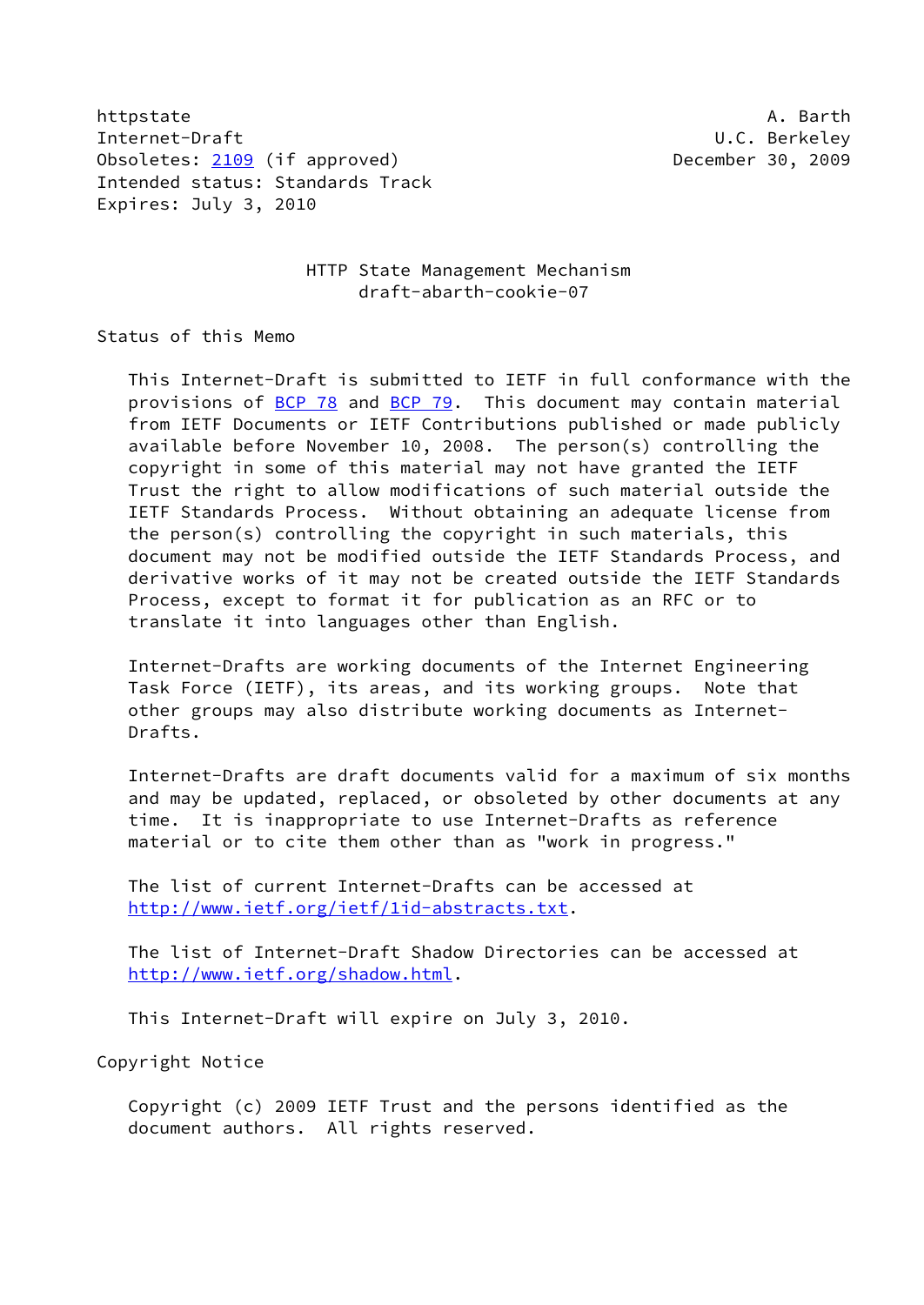httpstate and all and all and all and all and all and all and all and all and all and all and all and all and a Internet-Draft U.C. Berkeley Obsoletes: [2109](https://datatracker.ietf.org/doc/pdf/rfc2109) (if approved) December 30, 2009 Intended status: Standards Track Expires: July 3, 2010

> HTTP State Management Mechanism draft-abarth-cookie-07

Status of this Memo

 This Internet-Draft is submitted to IETF in full conformance with the provisions of [BCP 78](https://datatracker.ietf.org/doc/pdf/bcp78) and [BCP 79](https://datatracker.ietf.org/doc/pdf/bcp79). This document may contain material from IETF Documents or IETF Contributions published or made publicly available before November 10, 2008. The person(s) controlling the copyright in some of this material may not have granted the IETF Trust the right to allow modifications of such material outside the IETF Standards Process. Without obtaining an adequate license from the person(s) controlling the copyright in such materials, this document may not be modified outside the IETF Standards Process, and derivative works of it may not be created outside the IETF Standards Process, except to format it for publication as an RFC or to translate it into languages other than English.

 Internet-Drafts are working documents of the Internet Engineering Task Force (IETF), its areas, and its working groups. Note that other groups may also distribute working documents as Internet- Drafts.

 Internet-Drafts are draft documents valid for a maximum of six months and may be updated, replaced, or obsoleted by other documents at any time. It is inappropriate to use Internet-Drafts as reference material or to cite them other than as "work in progress."

 The list of current Internet-Drafts can be accessed at <http://www.ietf.org/ietf/1id-abstracts.txt>.

 The list of Internet-Draft Shadow Directories can be accessed at <http://www.ietf.org/shadow.html>.

This Internet-Draft will expire on July 3, 2010.

Copyright Notice

 Copyright (c) 2009 IETF Trust and the persons identified as the document authors. All rights reserved.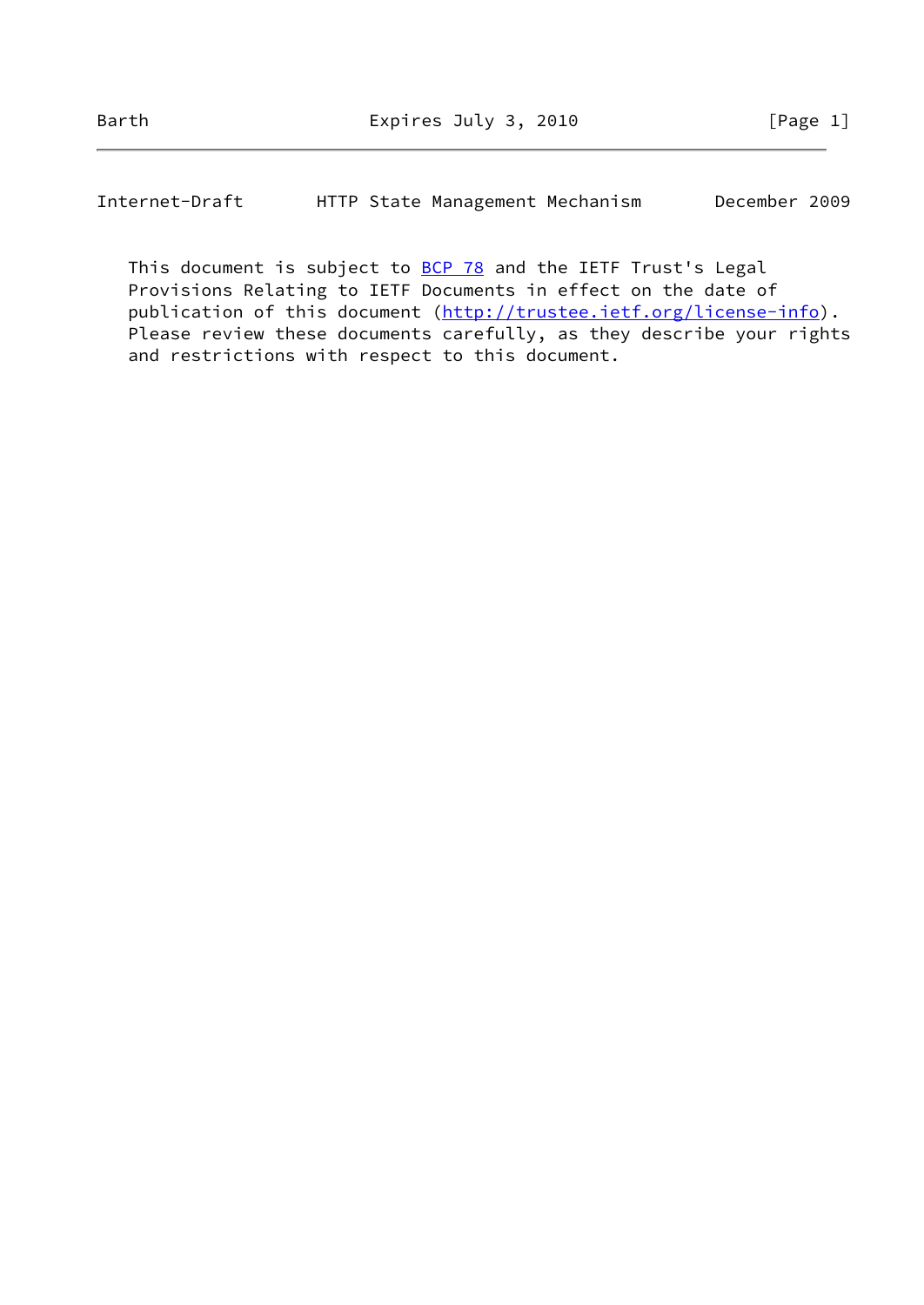Internet-Draft HTTP State Management Mechanism December 2009

This document is subject to **[BCP 78](https://datatracker.ietf.org/doc/pdf/bcp78)** and the IETF Trust's Legal Provisions Relating to IETF Documents in effect on the date of publication of this document [\(http://trustee.ietf.org/license-info](http://trustee.ietf.org/license-info)). Please review these documents carefully, as they describe your rights and restrictions with respect to this document.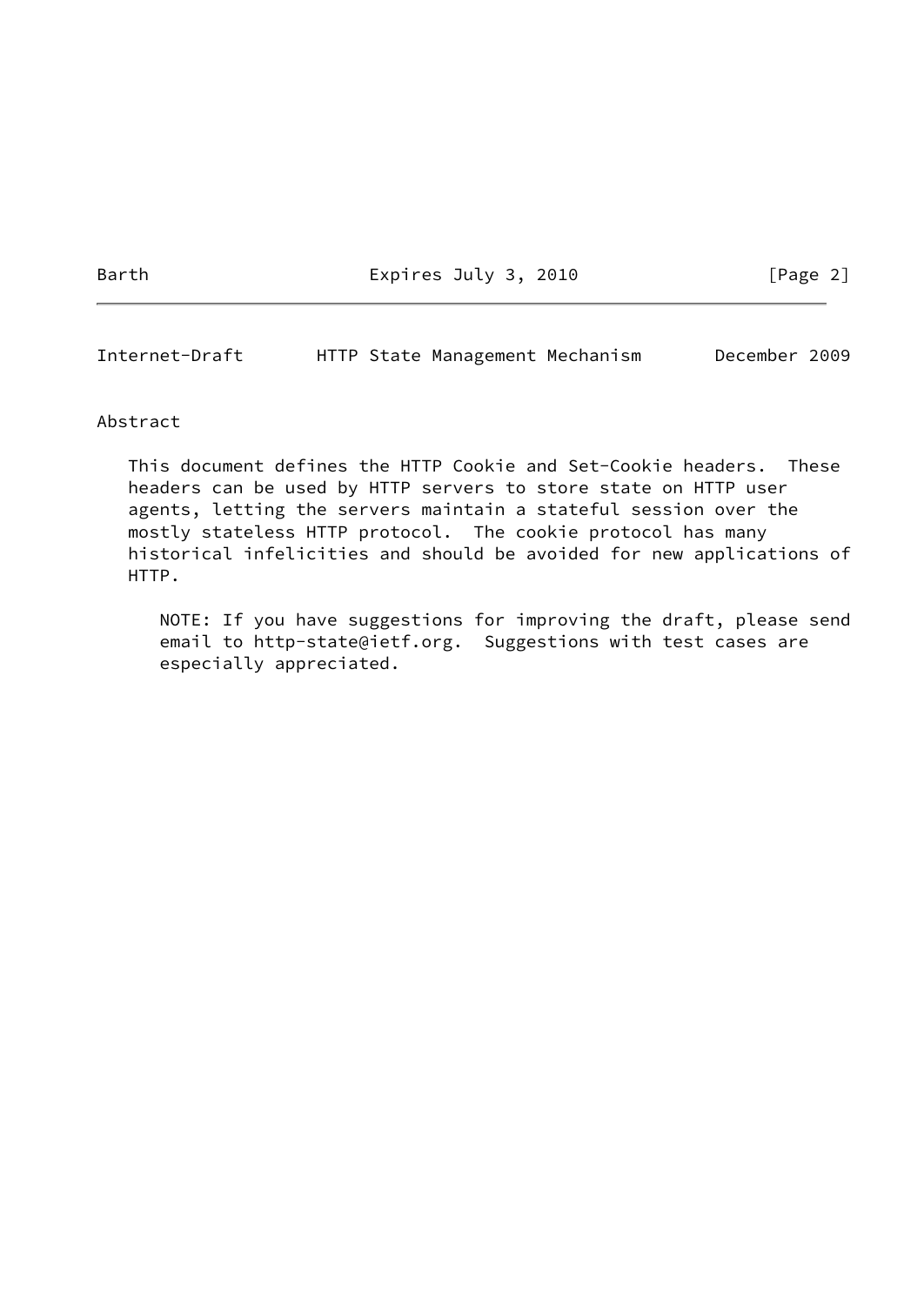Barth Expires July 3, 2010 [Page 2]

Internet-Draft HTTP State Management Mechanism December 2009

#### Abstract

 This document defines the HTTP Cookie and Set-Cookie headers. These headers can be used by HTTP servers to store state on HTTP user agents, letting the servers maintain a stateful session over the mostly stateless HTTP protocol. The cookie protocol has many historical infelicities and should be avoided for new applications of HTTP.

 NOTE: If you have suggestions for improving the draft, please send email to http-state@ietf.org. Suggestions with test cases are especially appreciated.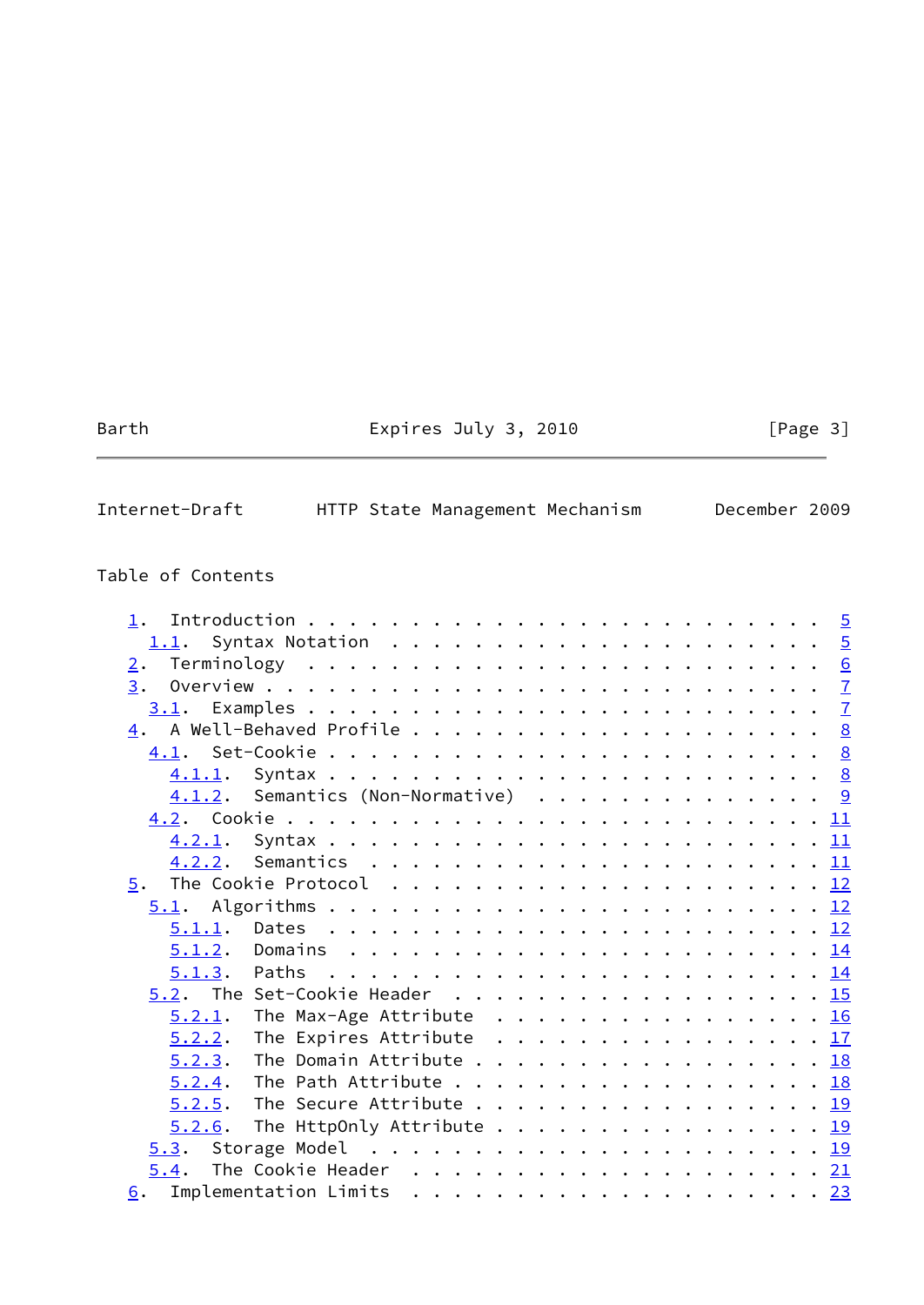# Barth **Expires July 3, 2010** [Page 3]

| Internet-Draft |  |  | HTTP State Management Mechanism |  |  | December 2009 |  |
|----------------|--|--|---------------------------------|--|--|---------------|--|
|----------------|--|--|---------------------------------|--|--|---------------|--|

# Table of Contents

| 1.                                                |                                                                                 |  |  |  |  |  |  |  |  |  |                |
|---------------------------------------------------|---------------------------------------------------------------------------------|--|--|--|--|--|--|--|--|--|----------------|
|                                                   |                                                                                 |  |  |  |  |  |  |  |  |  |                |
| 2.                                                |                                                                                 |  |  |  |  |  |  |  |  |  |                |
| 3.                                                |                                                                                 |  |  |  |  |  |  |  |  |  | $\mathbf{Z}$   |
|                                                   |                                                                                 |  |  |  |  |  |  |  |  |  | $\overline{1}$ |
|                                                   |                                                                                 |  |  |  |  |  |  |  |  |  |                |
|                                                   |                                                                                 |  |  |  |  |  |  |  |  |  |                |
|                                                   |                                                                                 |  |  |  |  |  |  |  |  |  |                |
| $\underline{4.1.2}$ . Semantics (Non-Normative) 9 |                                                                                 |  |  |  |  |  |  |  |  |  |                |
|                                                   |                                                                                 |  |  |  |  |  |  |  |  |  |                |
|                                                   |                                                                                 |  |  |  |  |  |  |  |  |  |                |
|                                                   |                                                                                 |  |  |  |  |  |  |  |  |  |                |
|                                                   |                                                                                 |  |  |  |  |  |  |  |  |  |                |
|                                                   |                                                                                 |  |  |  |  |  |  |  |  |  |                |
|                                                   |                                                                                 |  |  |  |  |  |  |  |  |  |                |
|                                                   |                                                                                 |  |  |  |  |  |  |  |  |  |                |
|                                                   |                                                                                 |  |  |  |  |  |  |  |  |  |                |
| $5.2$ . The Set-Cookie Header 15                  |                                                                                 |  |  |  |  |  |  |  |  |  |                |
| 5.2.1.                                            | The Max-Age Attribute $\dots \dots \dots \dots \dots \dots \dots \overline{16}$ |  |  |  |  |  |  |  |  |  |                |
| 5.2.2.                                            | The Expires Attribute $\ldots \ldots \ldots \ldots \ldots \frac{17}{2}$         |  |  |  |  |  |  |  |  |  |                |
| 5.2.3.                                            | The Domain Attribute 18                                                         |  |  |  |  |  |  |  |  |  |                |
| 5.2.4. The Path Attribute 18                      |                                                                                 |  |  |  |  |  |  |  |  |  |                |
| $5.2.5$ . The Secure Attribute 19                 |                                                                                 |  |  |  |  |  |  |  |  |  |                |
| $5.2.6$ . The HttpOnly Attribute 19               |                                                                                 |  |  |  |  |  |  |  |  |  |                |
|                                                   |                                                                                 |  |  |  |  |  |  |  |  |  |                |
|                                                   |                                                                                 |  |  |  |  |  |  |  |  |  |                |
|                                                   |                                                                                 |  |  |  |  |  |  |  |  |  |                |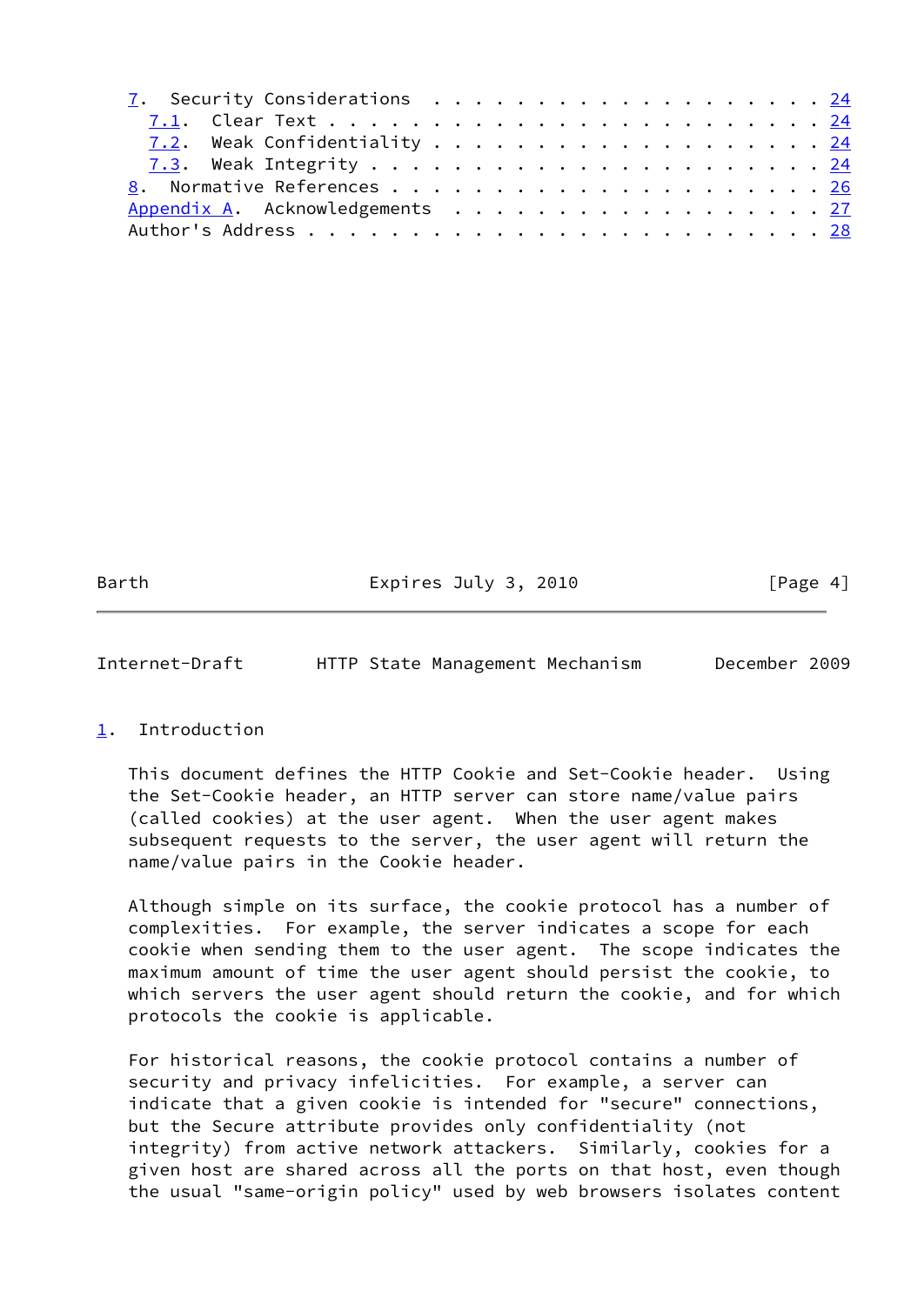| 7. Security Considerations 24   |  |  |  |  |  |  |  |  |  |  |
|---------------------------------|--|--|--|--|--|--|--|--|--|--|
|                                 |  |  |  |  |  |  |  |  |  |  |
|                                 |  |  |  |  |  |  |  |  |  |  |
|                                 |  |  |  |  |  |  |  |  |  |  |
|                                 |  |  |  |  |  |  |  |  |  |  |
| Appendix A. Acknowledgements 27 |  |  |  |  |  |  |  |  |  |  |
|                                 |  |  |  |  |  |  |  |  |  |  |

Barth Expires July 3, 2010 [Page 4]

<span id="page-4-1"></span>Internet-Draft HTTP State Management Mechanism December 2009

# <span id="page-4-0"></span>[1](#page-4-0). Introduction

 This document defines the HTTP Cookie and Set-Cookie header. Using the Set-Cookie header, an HTTP server can store name/value pairs (called cookies) at the user agent. When the user agent makes subsequent requests to the server, the user agent will return the name/value pairs in the Cookie header.

 Although simple on its surface, the cookie protocol has a number of complexities. For example, the server indicates a scope for each cookie when sending them to the user agent. The scope indicates the maximum amount of time the user agent should persist the cookie, to which servers the user agent should return the cookie, and for which protocols the cookie is applicable.

 For historical reasons, the cookie protocol contains a number of security and privacy infelicities. For example, a server can indicate that a given cookie is intended for "secure" connections, but the Secure attribute provides only confidentiality (not integrity) from active network attackers. Similarly, cookies for a given host are shared across all the ports on that host, even though the usual "same-origin policy" used by web browsers isolates content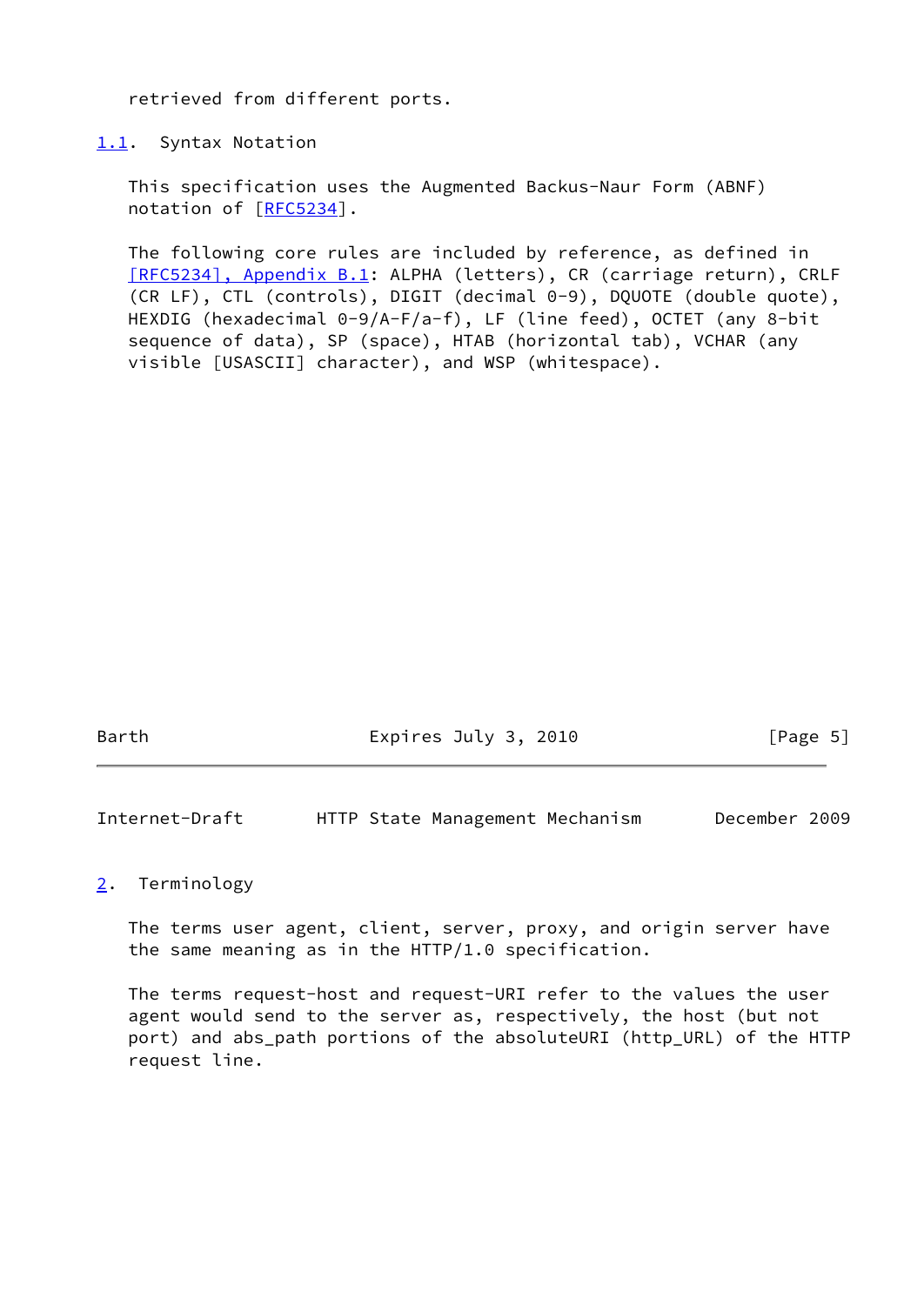retrieved from different ports.

<span id="page-5-0"></span>[1.1](#page-5-0). Syntax Notation

 This specification uses the Augmented Backus-Naur Form (ABNF) notation of [\[RFC5234](https://datatracker.ietf.org/doc/pdf/rfc5234)].

 The following core rules are included by reference, as defined in [\[RFC5234\], Appendix](https://datatracker.ietf.org/doc/pdf/rfc5234#appendix-B.1) B.1: ALPHA (letters), CR (carriage return), CRLF (CR LF), CTL (controls), DIGIT (decimal 0-9), DQUOTE (double quote), HEXDIG (hexadecimal 0-9/A-F/a-f), LF (line feed), OCTET (any 8-bit sequence of data), SP (space), HTAB (horizontal tab), VCHAR (any visible [USASCII] character), and WSP (whitespace).

Barth Expires July 3, 2010 [Page 5]

<span id="page-5-2"></span>Internet-Draft HTTP State Management Mechanism December 2009

<span id="page-5-1"></span>[2](#page-5-1). Terminology

 The terms user agent, client, server, proxy, and origin server have the same meaning as in the HTTP/1.0 specification.

 The terms request-host and request-URI refer to the values the user agent would send to the server as, respectively, the host (but not port) and abs\_path portions of the absoluteURI (http\_URL) of the HTTP request line.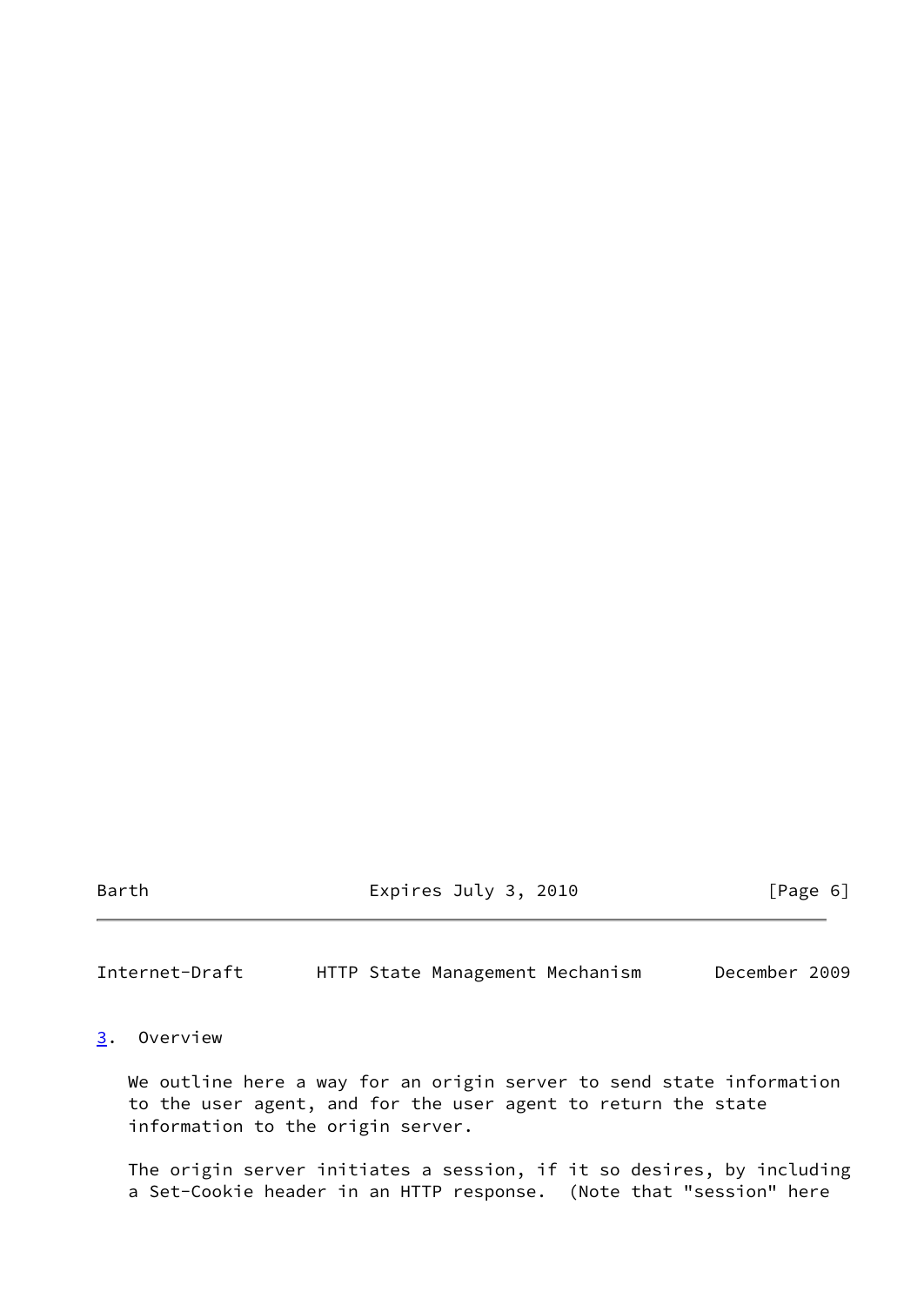Barth Expires July 3, 2010 [Page 6]

<span id="page-6-1"></span>Internet-Draft HTTP State Management Mechanism December 2009

# <span id="page-6-0"></span>[3](#page-6-0). Overview

 We outline here a way for an origin server to send state information to the user agent, and for the user agent to return the state information to the origin server.

 The origin server initiates a session, if it so desires, by including a Set-Cookie header in an HTTP response. (Note that "session" here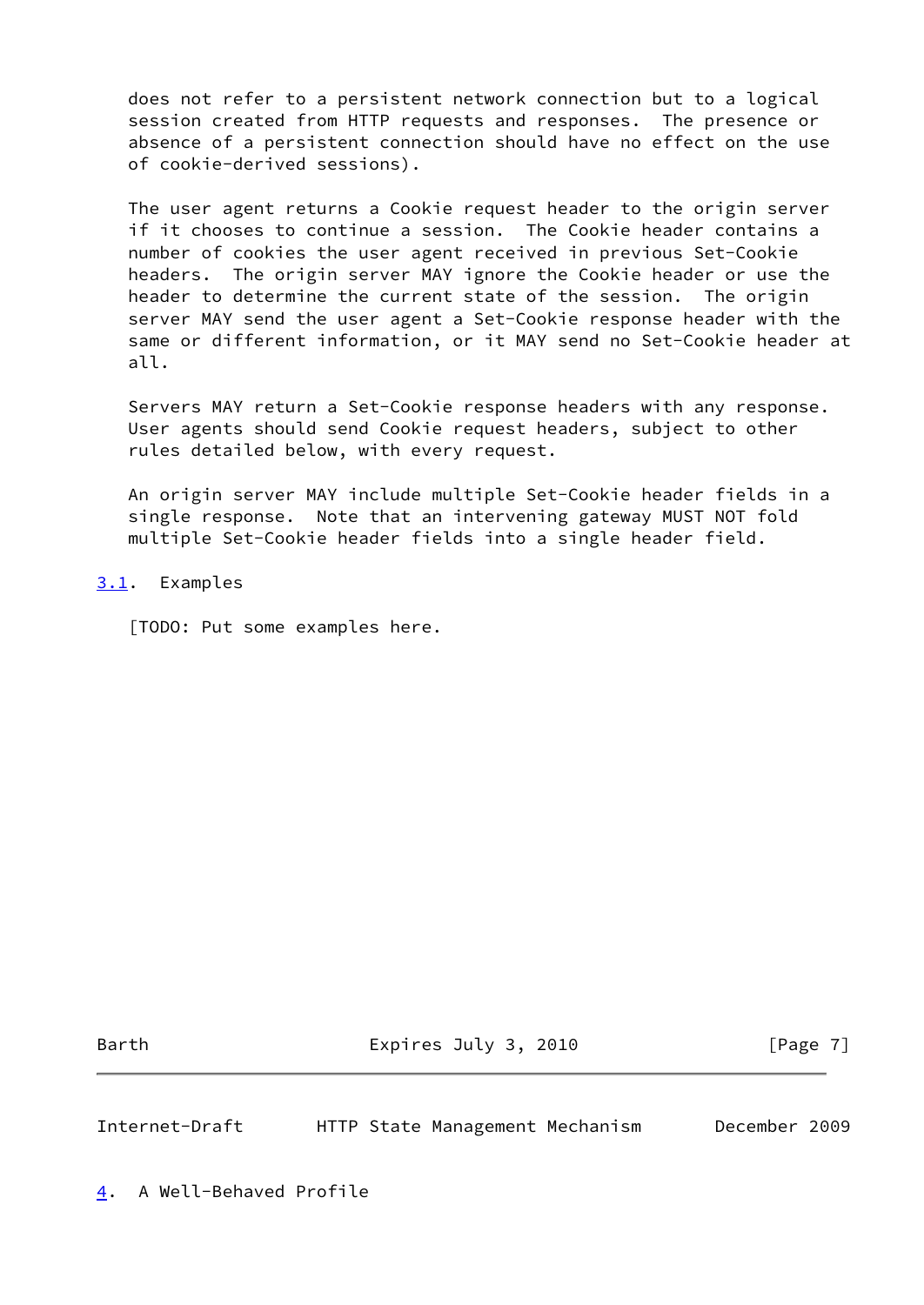does not refer to a persistent network connection but to a logical session created from HTTP requests and responses. The presence or absence of a persistent connection should have no effect on the use of cookie-derived sessions).

 The user agent returns a Cookie request header to the origin server if it chooses to continue a session. The Cookie header contains a number of cookies the user agent received in previous Set-Cookie headers. The origin server MAY ignore the Cookie header or use the header to determine the current state of the session. The origin server MAY send the user agent a Set-Cookie response header with the same or different information, or it MAY send no Set-Cookie header at all.

 Servers MAY return a Set-Cookie response headers with any response. User agents should send Cookie request headers, subject to other rules detailed below, with every request.

 An origin server MAY include multiple Set-Cookie header fields in a single response. Note that an intervening gateway MUST NOT fold multiple Set-Cookie header fields into a single header field.

# <span id="page-7-0"></span>[3.1](#page-7-0). Examples

[TODO: Put some examples here.

Barth Expires July 3, 2010 [Page 7]

<span id="page-7-2"></span><span id="page-7-1"></span>Internet-Draft HTTP State Management Mechanism December 2009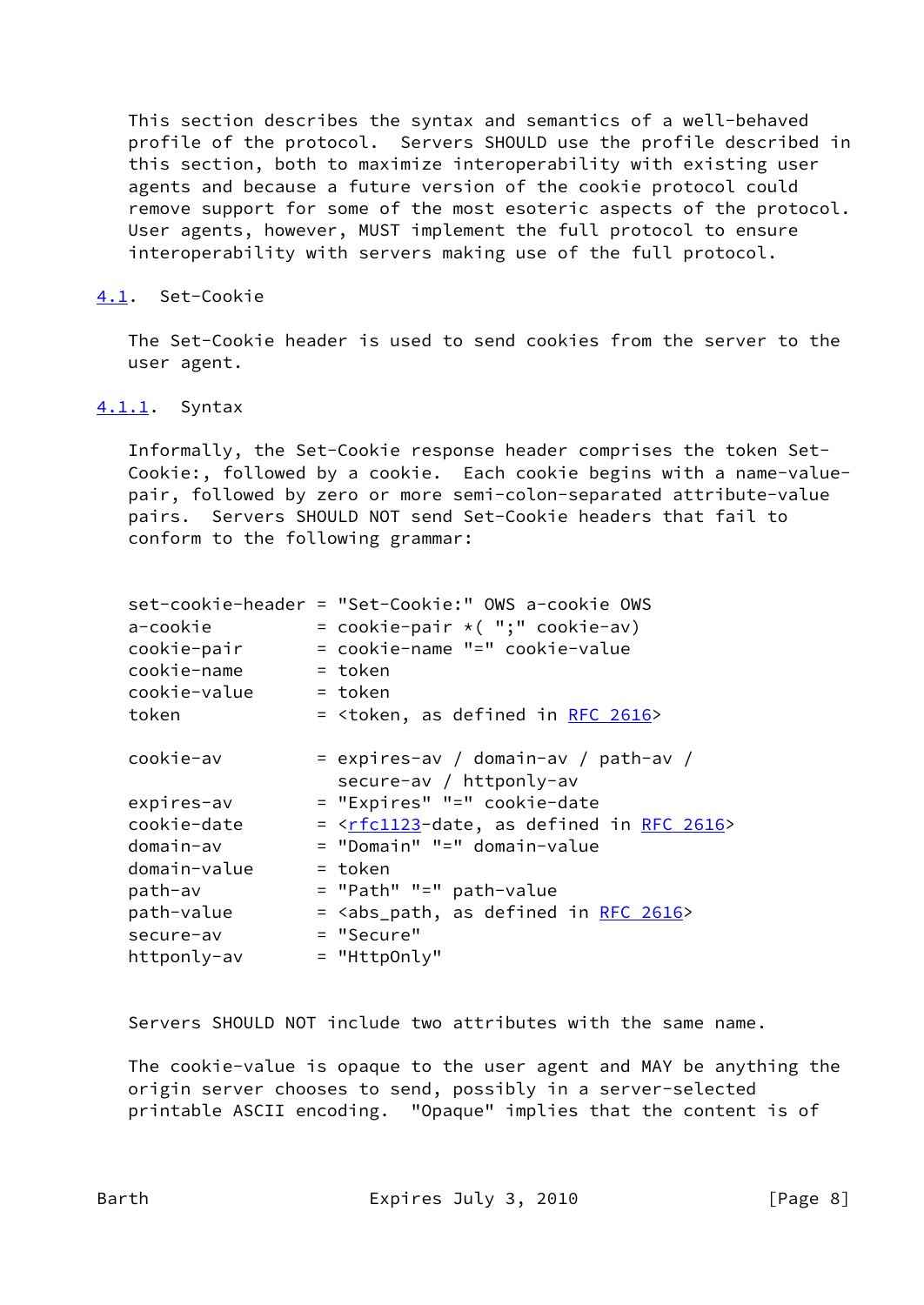This section describes the syntax and semantics of a well-behaved profile of the protocol. Servers SHOULD use the profile described in this section, both to maximize interoperability with existing user agents and because a future version of the cookie protocol could remove support for some of the most esoteric aspects of the protocol. User agents, however, MUST implement the full protocol to ensure interoperability with servers making use of the full protocol.

#### <span id="page-8-0"></span>[4.1](#page-8-0). Set-Cookie

 The Set-Cookie header is used to send cookies from the server to the user agent.

#### <span id="page-8-1"></span>[4.1.1](#page-8-1). Syntax

 Informally, the Set-Cookie response header comprises the token Set- Cookie:, followed by a cookie. Each cookie begins with a name-value pair, followed by zero or more semi-colon-separated attribute-value pairs. Servers SHOULD NOT send Set-Cookie headers that fail to conform to the following grammar:

|              | set-cookie-header = "Set-Cookie:" OWS a-cookie OWS                      |
|--------------|-------------------------------------------------------------------------|
| a-cookie     | = cookie-pair $*( ";" cookie-av)$                                       |
| cookie-pair  | = cookie-name "=" cookie-value                                          |
| cookie-name  | $=$ token                                                               |
| cookie-value | $=$ token                                                               |
| token        | = <token, 2616="" as="" defined="" in="" rfc=""></token,>               |
|              |                                                                         |
| cookie-av    | $=$ expires-av / domain-av / path-av /                                  |
|              | secure-av / httponly-av                                                 |
| expires-av   | = "Expires" "=" cookie-date                                             |
| cookie-date  | = <rfc1123-date, 2616="" as="" defined="" in="" rfc=""></rfc1123-date,> |
| domain-av    | = "Domain" "=" domain-value                                             |
| domain-value | = token                                                                 |
| path-av      | = "Path" "=" path-value                                                 |
| path-value   | = <abs_path, 2616="" as="" defined="" in="" rfc=""></abs_path,>         |
| secure-av    | = "Secure"                                                              |
| httponly-av  | = "HttpOnly"                                                            |
|              |                                                                         |

Servers SHOULD NOT include two attributes with the same name.

 The cookie-value is opaque to the user agent and MAY be anything the origin server chooses to send, possibly in a server-selected printable ASCII encoding. "Opaque" implies that the content is of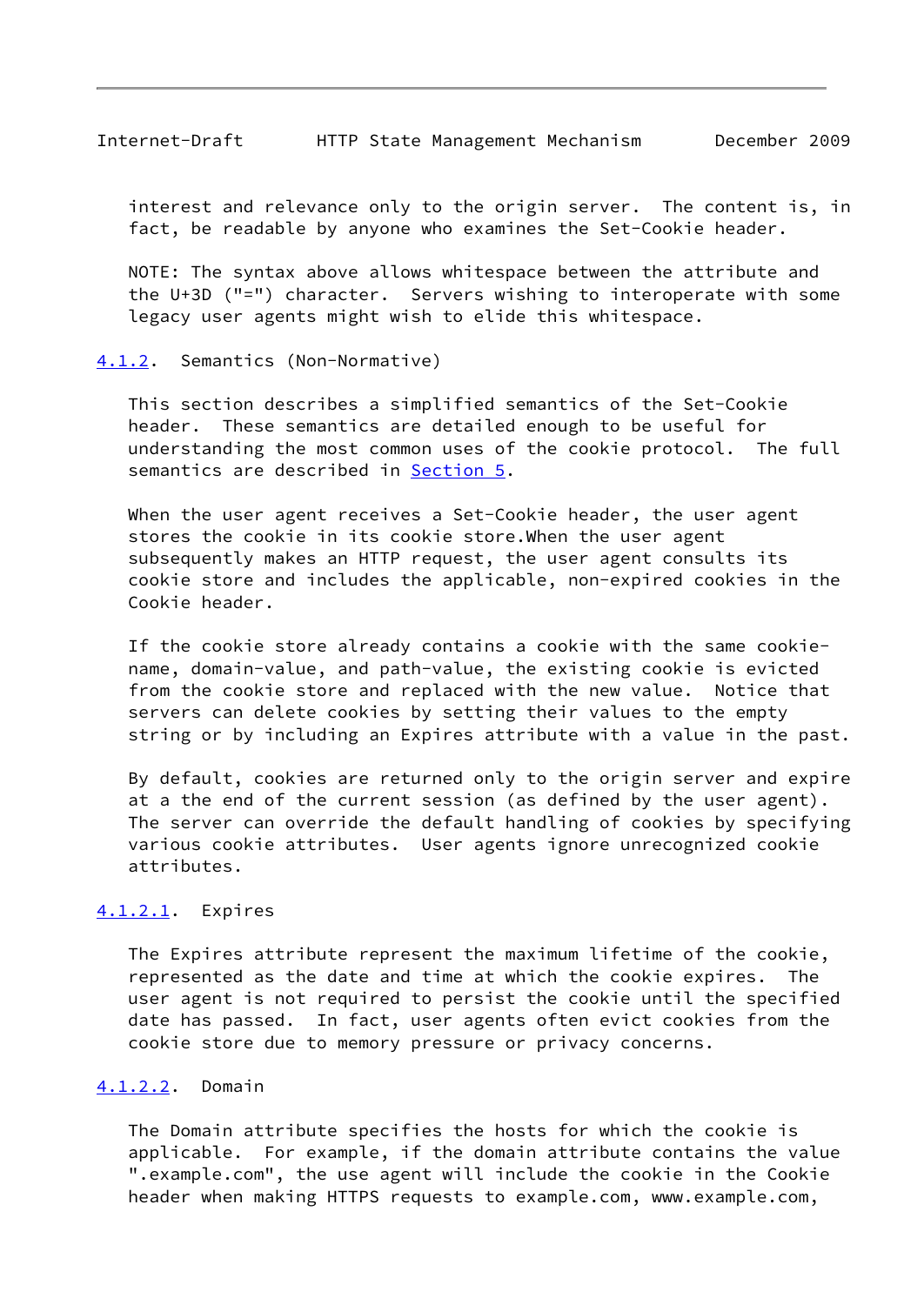<span id="page-9-1"></span> interest and relevance only to the origin server. The content is, in fact, be readable by anyone who examines the Set-Cookie header.

 NOTE: The syntax above allows whitespace between the attribute and the U+3D ("=") character. Servers wishing to interoperate with some legacy user agents might wish to elide this whitespace.

#### <span id="page-9-0"></span>[4.1.2](#page-9-0). Semantics (Non-Normative)

 This section describes a simplified semantics of the Set-Cookie header. These semantics are detailed enough to be useful for understanding the most common uses of the cookie protocol. The full semantics are described in [Section 5.](#page-12-0)

When the user agent receives a Set-Cookie header, the user agent stores the cookie in its cookie store.When the user agent subsequently makes an HTTP request, the user agent consults its cookie store and includes the applicable, non-expired cookies in the Cookie header.

 If the cookie store already contains a cookie with the same cookie name, domain-value, and path-value, the existing cookie is evicted from the cookie store and replaced with the new value. Notice that servers can delete cookies by setting their values to the empty string or by including an Expires attribute with a value in the past.

 By default, cookies are returned only to the origin server and expire at a the end of the current session (as defined by the user agent). The server can override the default handling of cookies by specifying various cookie attributes. User agents ignore unrecognized cookie attributes.

# <span id="page-9-2"></span>[4.1.2.1](#page-9-2). Expires

 The Expires attribute represent the maximum lifetime of the cookie, represented as the date and time at which the cookie expires. The user agent is not required to persist the cookie until the specified date has passed. In fact, user agents often evict cookies from the cookie store due to memory pressure or privacy concerns.

# <span id="page-9-3"></span>[4.1.2.2](#page-9-3). Domain

 The Domain attribute specifies the hosts for which the cookie is applicable. For example, if the domain attribute contains the value ".example.com", the use agent will include the cookie in the Cookie header when making HTTPS requests to example.com, www.example.com,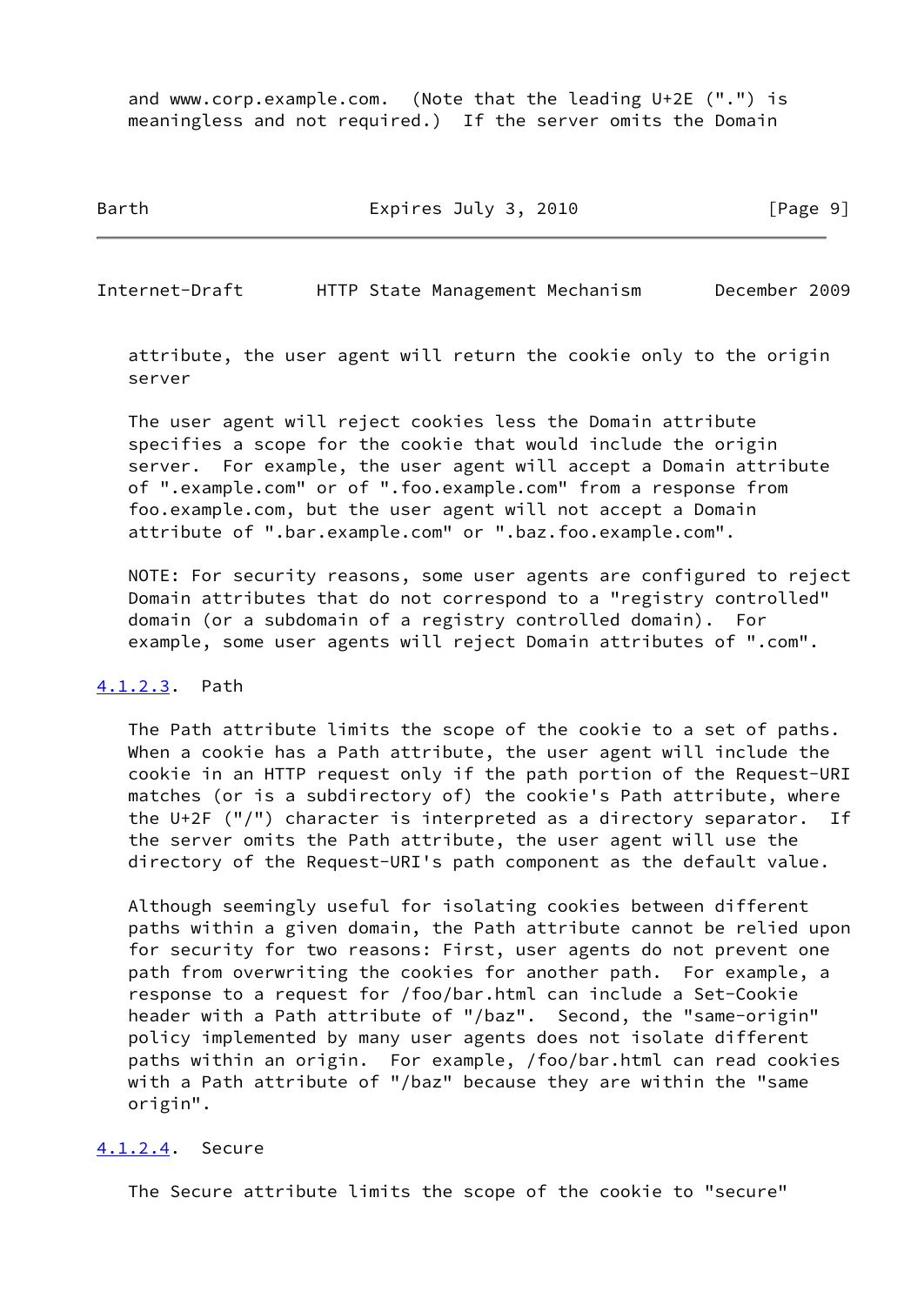and www.corp.example.com. (Note that the leading U+2E (".") is meaningless and not required.) If the server omits the Domain

Barth Expires July 3, 2010 [Page 9]

Internet-Draft HTTP State Management Mechanism December 2009

 attribute, the user agent will return the cookie only to the origin server

 The user agent will reject cookies less the Domain attribute specifies a scope for the cookie that would include the origin server. For example, the user agent will accept a Domain attribute of ".example.com" or of ".foo.example.com" from a response from foo.example.com, but the user agent will not accept a Domain attribute of ".bar.example.com" or ".baz.foo.example.com".

 NOTE: For security reasons, some user agents are configured to reject Domain attributes that do not correspond to a "registry controlled" domain (or a subdomain of a registry controlled domain). For example, some user agents will reject Domain attributes of ".com".

#### <span id="page-10-0"></span>[4.1.2.3](#page-10-0). Path

 The Path attribute limits the scope of the cookie to a set of paths. When a cookie has a Path attribute, the user agent will include the cookie in an HTTP request only if the path portion of the Request-URI matches (or is a subdirectory of) the cookie's Path attribute, where the U+2F ("/") character is interpreted as a directory separator. If the server omits the Path attribute, the user agent will use the directory of the Request-URI's path component as the default value.

 Although seemingly useful for isolating cookies between different paths within a given domain, the Path attribute cannot be relied upon for security for two reasons: First, user agents do not prevent one path from overwriting the cookies for another path. For example, a response to a request for /foo/bar.html can include a Set-Cookie header with a Path attribute of "/baz". Second, the "same-origin" policy implemented by many user agents does not isolate different paths within an origin. For example, /foo/bar.html can read cookies with a Path attribute of "/baz" because they are within the "same origin".

# <span id="page-10-1"></span>[4.1.2.4](#page-10-1). Secure

The Secure attribute limits the scope of the cookie to "secure"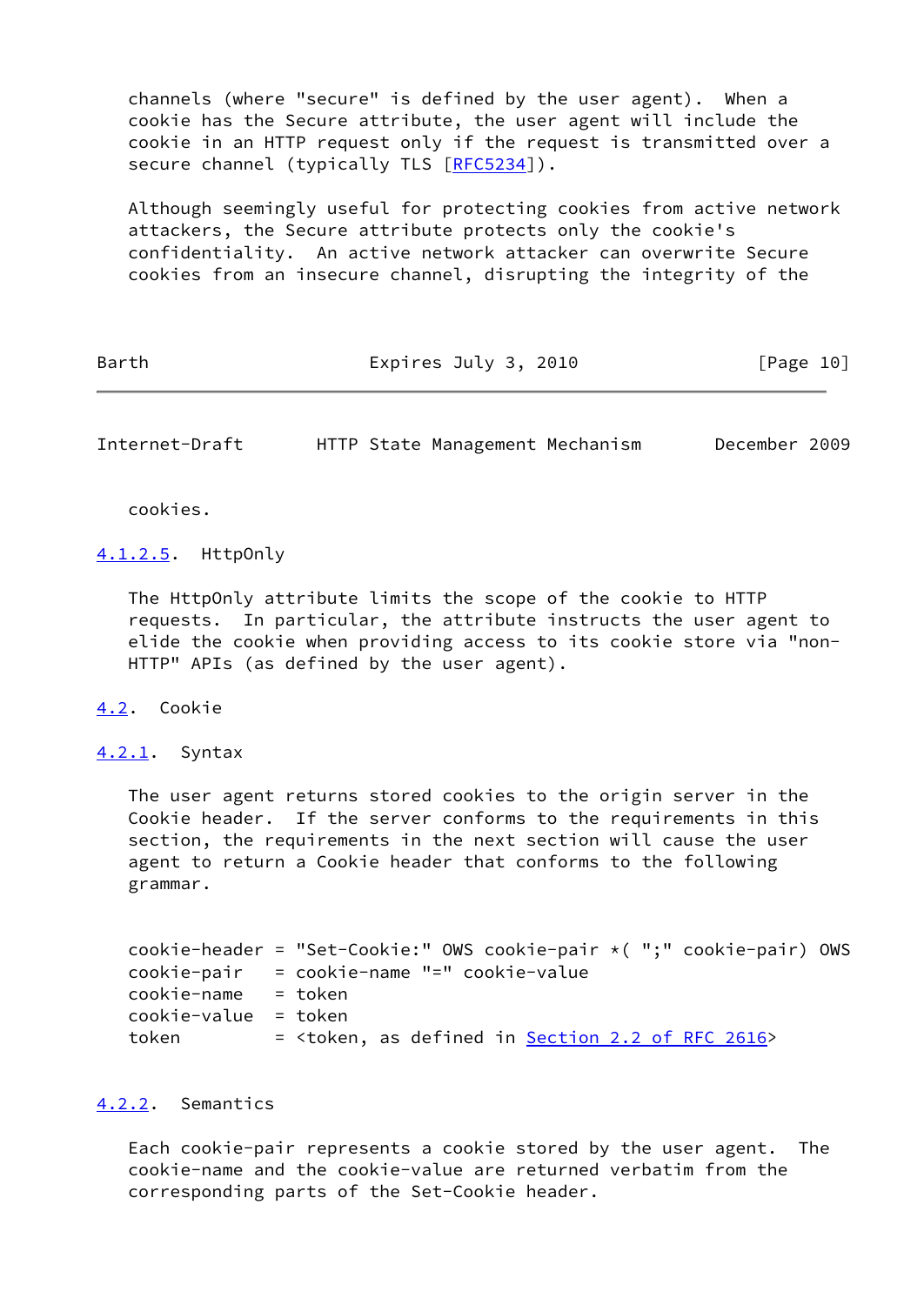channels (where "secure" is defined by the user agent). When a cookie has the Secure attribute, the user agent will include the cookie in an HTTP request only if the request is transmitted over a secure channel (typically TLS [[RFC5234](https://datatracker.ietf.org/doc/pdf/rfc5234)]).

 Although seemingly useful for protecting cookies from active network attackers, the Secure attribute protects only the cookie's confidentiality. An active network attacker can overwrite Secure cookies from an insecure channel, disrupting the integrity of the

Barth Expires July 3, 2010 [Page 10]

<span id="page-11-1"></span>Internet-Draft HTTP State Management Mechanism December 2009

cookies.

<span id="page-11-4"></span>[4.1.2.5](#page-11-4). HttpOnly

 The HttpOnly attribute limits the scope of the cookie to HTTP requests. In particular, the attribute instructs the user agent to elide the cookie when providing access to its cookie store via "non- HTTP" APIs (as defined by the user agent).

<span id="page-11-0"></span>[4.2](#page-11-0). Cookie

<span id="page-11-2"></span>[4.2.1](#page-11-2). Syntax

 The user agent returns stored cookies to the origin server in the Cookie header. If the server conforms to the requirements in this section, the requirements in the next section will cause the user agent to return a Cookie header that conforms to the following grammar.

```
 cookie-header = "Set-Cookie:" OWS cookie-pair *( ";" cookie-pair) OWS
 cookie-pair = cookie-name "=" cookie-value
 cookie-name = token
 cookie-value = token
token =2.2 of RFC 2616</u>>
```
# <span id="page-11-3"></span>[4.2.2](#page-11-3). Semantics

 Each cookie-pair represents a cookie stored by the user agent. The cookie-name and the cookie-value are returned verbatim from the corresponding parts of the Set-Cookie header.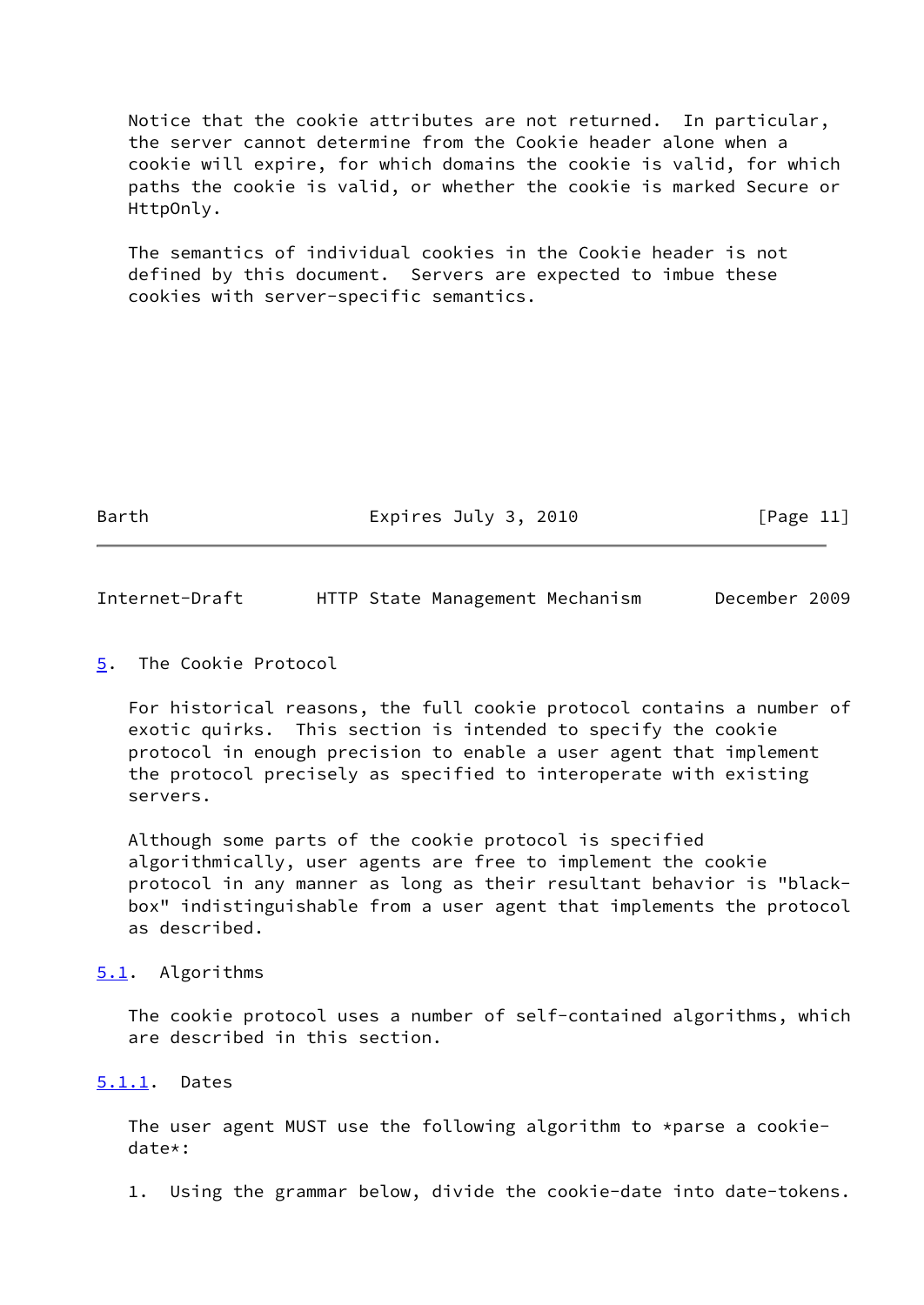Notice that the cookie attributes are not returned. In particular, the server cannot determine from the Cookie header alone when a cookie will expire, for which domains the cookie is valid, for which paths the cookie is valid, or whether the cookie is marked Secure or HttpOnly.

 The semantics of individual cookies in the Cookie header is not defined by this document. Servers are expected to imbue these cookies with server-specific semantics.

Barth Expires July 3, 2010 [Page 11]

<span id="page-12-1"></span>Internet-Draft HTTP State Management Mechanism December 2009

# <span id="page-12-0"></span>[5](#page-12-0). The Cookie Protocol

 For historical reasons, the full cookie protocol contains a number of exotic quirks. This section is intended to specify the cookie protocol in enough precision to enable a user agent that implement the protocol precisely as specified to interoperate with existing servers.

 Although some parts of the cookie protocol is specified algorithmically, user agents are free to implement the cookie protocol in any manner as long as their resultant behavior is "black box" indistinguishable from a user agent that implements the protocol as described.

# <span id="page-12-2"></span>[5.1](#page-12-2). Algorithms

 The cookie protocol uses a number of self-contained algorithms, which are described in this section.

# <span id="page-12-3"></span>[5.1.1](#page-12-3). Dates

 The user agent MUST use the following algorithm to \*parse a cookie date\*:

1. Using the grammar below, divide the cookie-date into date-tokens.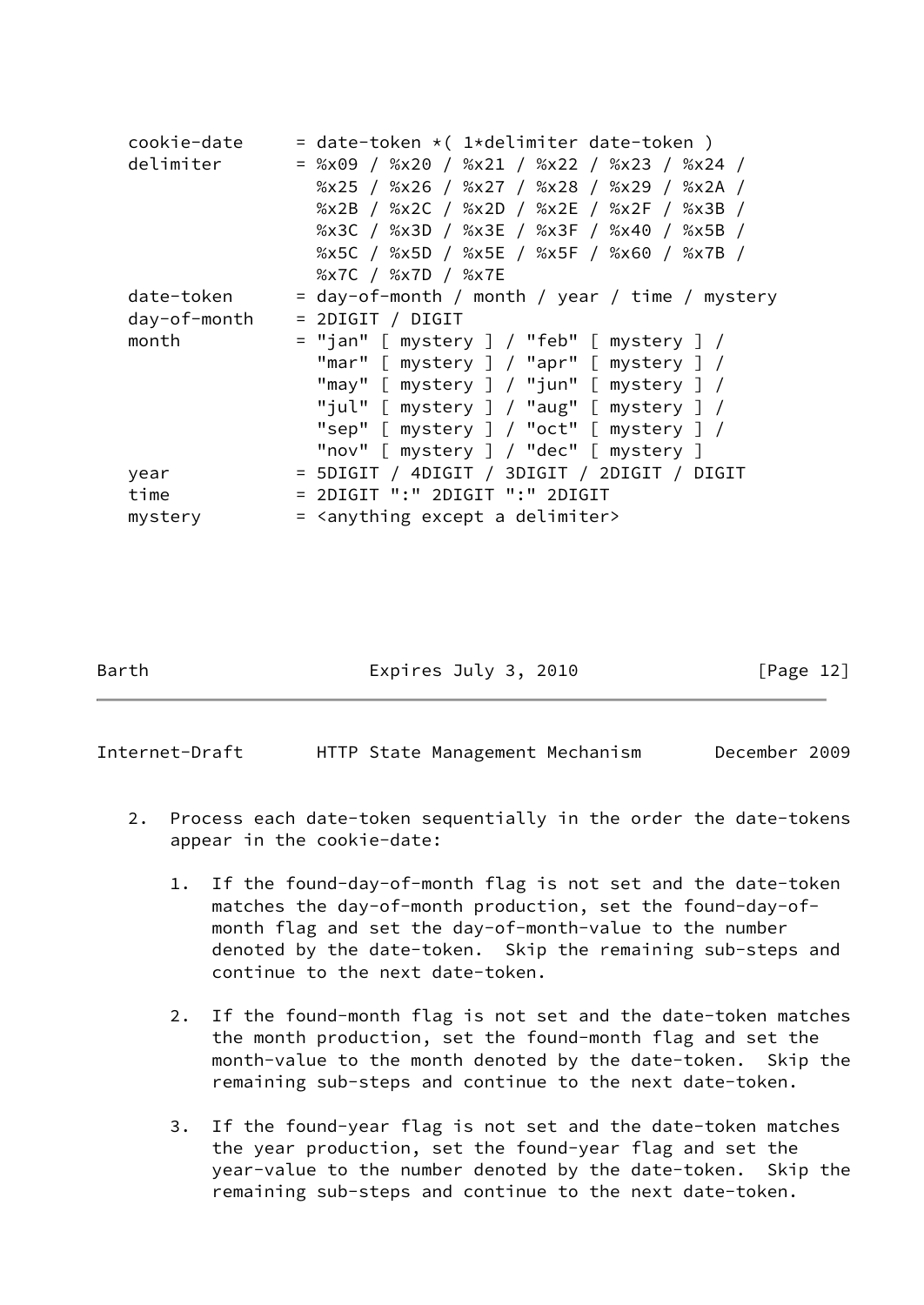| cookie-date  | = date-token $\star$ (1 $\star$ delimiter date-token) |
|--------------|-------------------------------------------------------|
| delimiter    | = %x09 / %x20 / %x21 / %x22 / %x23 / %x24 /           |
|              | %x25 / %x26 / %x27 / %x28 / %x29 / %x2A /             |
|              | %x2B / %x2C / %x2D / %x2E / %x2F / %x3B /             |
|              | %x3C / %x3D / %x3E / %x3F / %x40 / %x5B /             |
|              | %x5C / %x5D / %x5E / %x5F / %x60 / %x7B /             |
|              | %x7C / %x7D / %x7E                                    |
| date-token   | = day-of-month / month / year / time / mystery        |
| day-of-month | $= 2DIGIT / DIGIT$                                    |
| month        | = "jan" [ mystery ] / "feb" [ mystery ] /             |
|              | "mar" [ mystery ] / "apr" [ mystery ] /               |
|              | "may" $[$ mystery $] /$ "jun" $[$ mystery $] /$       |
|              | "jul" $[$ mystery $] /$ "aug" $[$ mystery $] /$       |
|              | "sep" $[$ mystery $] /$ "oct" $[$ mystery $] /$       |
|              | "nov" [ mystery ] / "dec" [ mystery ]                 |
| year         | = 5DIGIT / 4DIGIT / 3DIGIT / 2DIGIT / DIGIT           |
| time         | = 2DIGIT ":" 2DIGIT ":" 2DIGIT                        |
| mystery      | = <anything a="" delimiter="" except=""></anything>   |

Barth **Expires July 3, 2010** [Page 12]

Internet-Draft HTTP State Management Mechanism December 2009

- 2. Process each date-token sequentially in the order the date-tokens appear in the cookie-date:
	- 1. If the found-day-of-month flag is not set and the date-token matches the day-of-month production, set the found-day-of month flag and set the day-of-month-value to the number denoted by the date-token. Skip the remaining sub-steps and continue to the next date-token.
	- 2. If the found-month flag is not set and the date-token matches the month production, set the found-month flag and set the month-value to the month denoted by the date-token. Skip the remaining sub-steps and continue to the next date-token.
	- 3. If the found-year flag is not set and the date-token matches the year production, set the found-year flag and set the year-value to the number denoted by the date-token. Skip the remaining sub-steps and continue to the next date-token.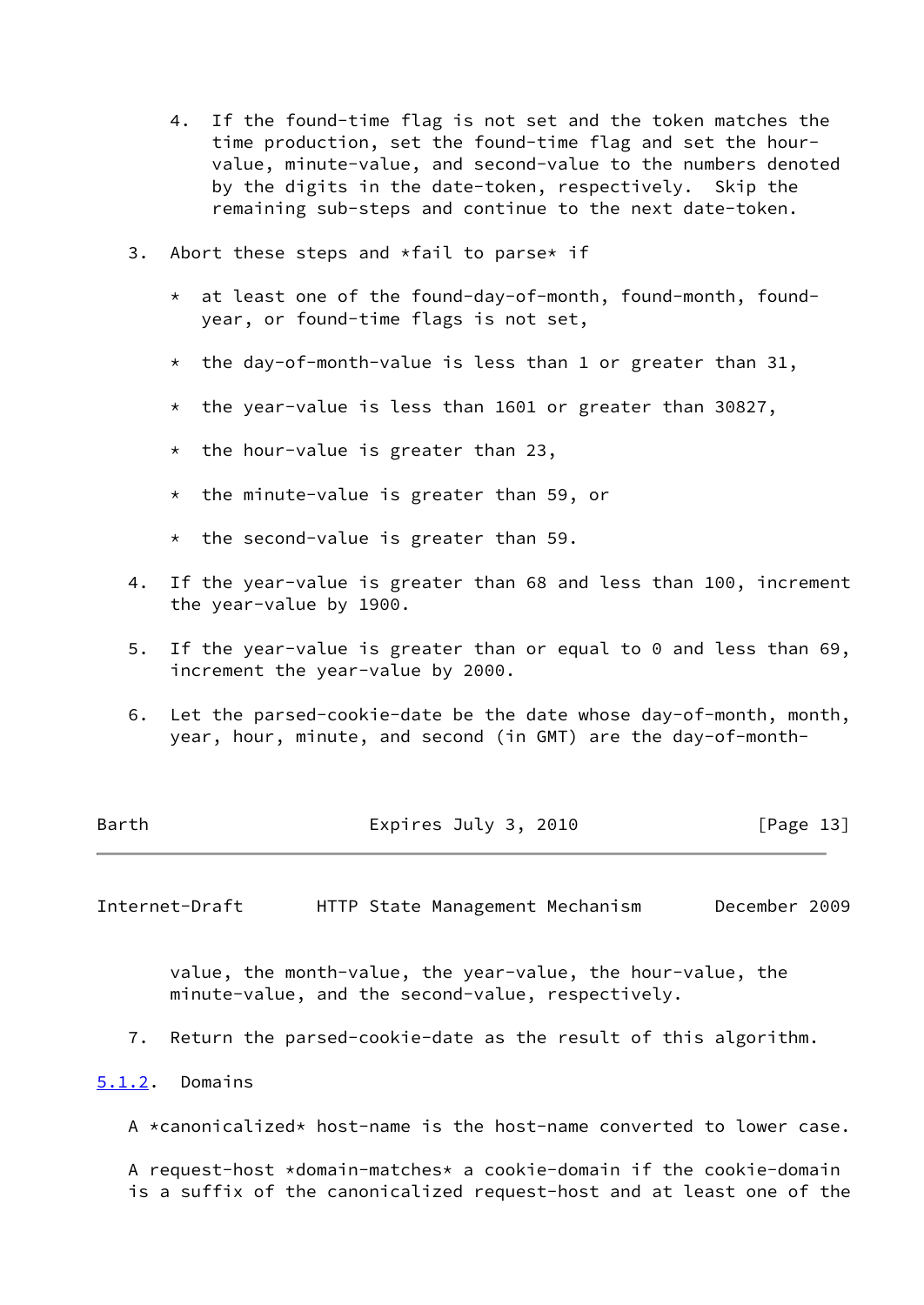- 4. If the found-time flag is not set and the token matches the time production, set the found-time flag and set the hour value, minute-value, and second-value to the numbers denoted by the digits in the date-token, respectively. Skip the remaining sub-steps and continue to the next date-token.
- 3. Abort these steps and  $*fail$  to parse $*$  if
	- \* at least one of the found-day-of-month, found-month, found year, or found-time flags is not set,
	- \* the day-of-month-value is less than 1 or greater than 31,
	- \* the year-value is less than 1601 or greater than 30827,
	- \* the hour-value is greater than 23,
	- \* the minute-value is greater than 59, or
	- \* the second-value is greater than 59.
- 4. If the year-value is greater than 68 and less than 100, increment the year-value by 1900.
- 5. If the year-value is greater than or equal to 0 and less than 69, increment the year-value by 2000.
- 6. Let the parsed-cookie-date be the date whose day-of-month, month, year, hour, minute, and second (in GMT) are the day-of-month-

| Barth | Expires July 3, 2010 | [Page 13] |
|-------|----------------------|-----------|
|       |                      |           |

<span id="page-14-1"></span>Internet-Draft HTTP State Management Mechanism December 2009

 value, the month-value, the year-value, the hour-value, the minute-value, and the second-value, respectively.

7. Return the parsed-cookie-date as the result of this algorithm.

# <span id="page-14-0"></span>[5.1.2](#page-14-0). Domains

A \*canonicalized\* host-name is the host-name converted to lower case.

 A request-host \*domain-matches\* a cookie-domain if the cookie-domain is a suffix of the canonicalized request-host and at least one of the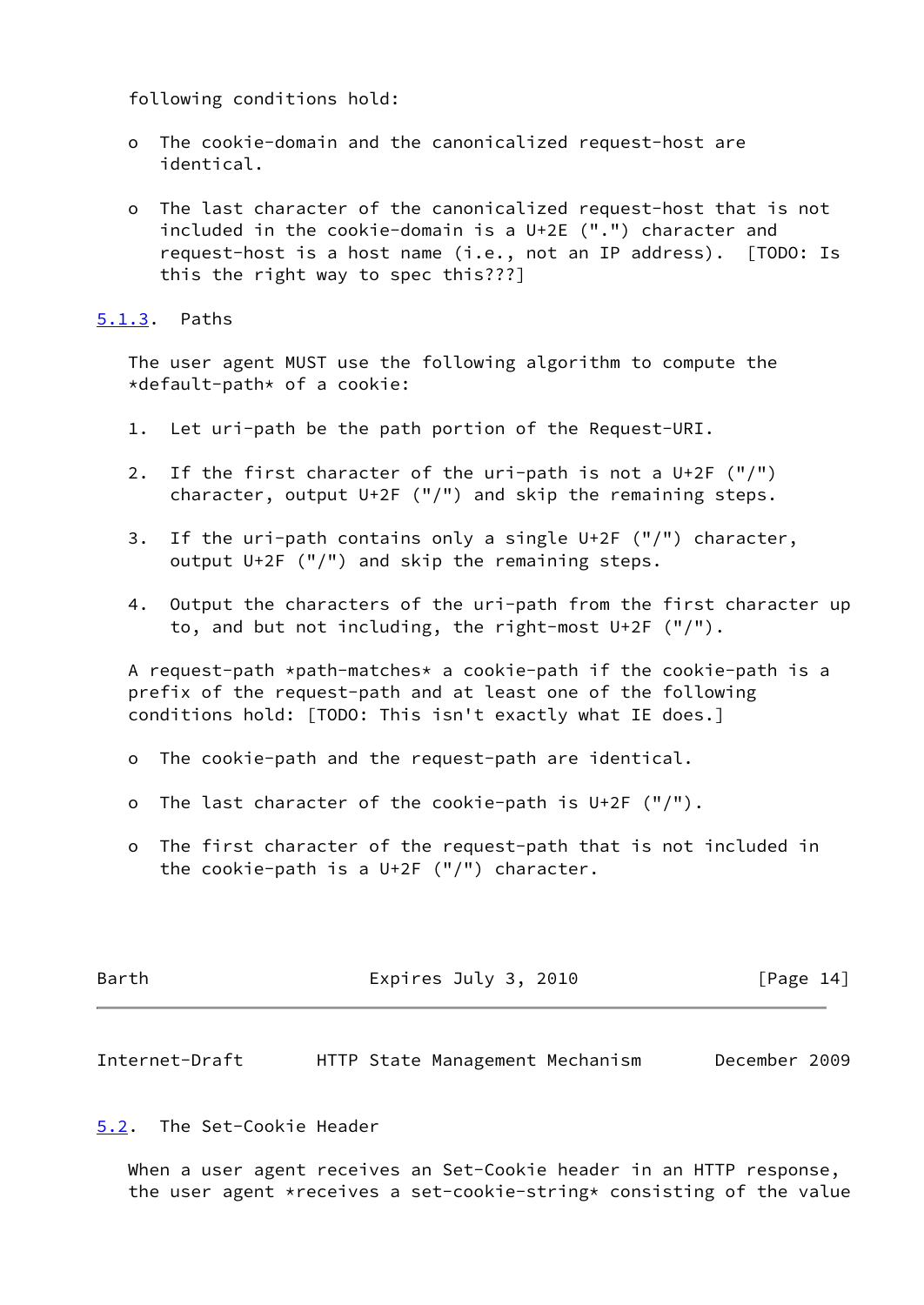following conditions hold:

- o The cookie-domain and the canonicalized request-host are identical.
- o The last character of the canonicalized request-host that is not included in the cookie-domain is a U+2E (".") character and request-host is a host name (i.e., not an IP address). [TODO: Is this the right way to spec this???]

<span id="page-15-0"></span>[5.1.3](#page-15-0). Paths

 The user agent MUST use the following algorithm to compute the \*default-path\* of a cookie:

- 1. Let uri-path be the path portion of the Request-URI.
- 2. If the first character of the uri-path is not a U+2F ("/") character, output U+2F ("/") and skip the remaining steps.
- 3. If the uri-path contains only a single U+2F ("/") character, output U+2F ("/") and skip the remaining steps.
- 4. Output the characters of the uri-path from the first character up to, and but not including, the right-most U+2F ("/").

 A request-path \*path-matches\* a cookie-path if the cookie-path is a prefix of the request-path and at least one of the following conditions hold: [TODO: This isn't exactly what IE does.]

- o The cookie-path and the request-path are identical.
- o The last character of the cookie-path is U+2F ("/").
- o The first character of the request-path that is not included in the cookie-path is a U+2F ("/") character.

| Expires July 3, 2010 | [Page 14] |
|----------------------|-----------|
|                      |           |

<span id="page-15-2"></span>Internet-Draft HTTP State Management Mechanism December 2009

<span id="page-15-1"></span>[5.2](#page-15-1). The Set-Cookie Header

 When a user agent receives an Set-Cookie header in an HTTP response, the user agent \*receives a set-cookie-string\* consisting of the value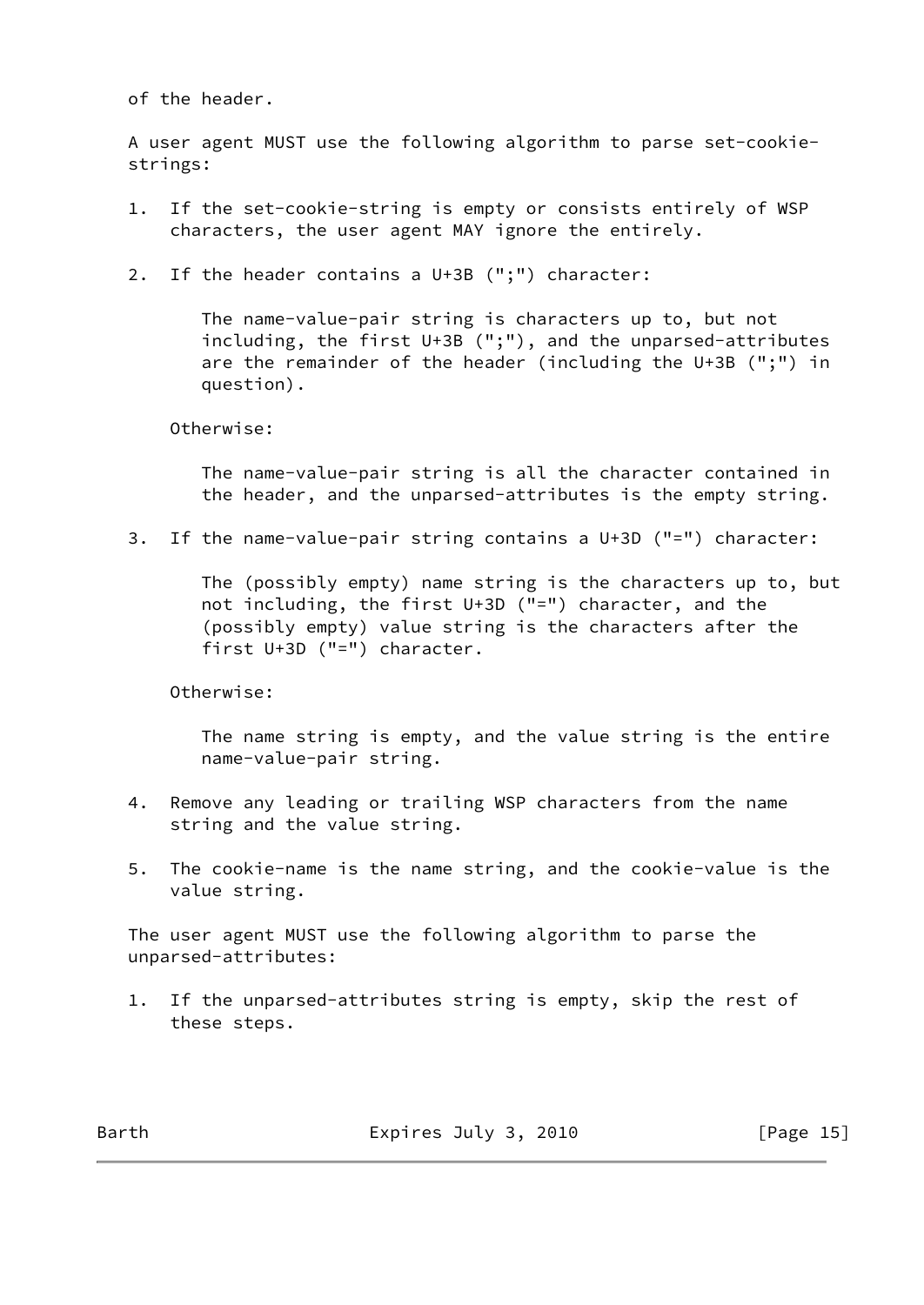of the header.

 A user agent MUST use the following algorithm to parse set-cookie strings:

- 1. If the set-cookie-string is empty or consists entirely of WSP characters, the user agent MAY ignore the entirely.
- 2. If the header contains a U+3B (";") character:

 The name-value-pair string is characters up to, but not including, the first U+3B (";"), and the unparsed-attributes are the remainder of the header (including the U+3B (";") in question).

Otherwise:

 The name-value-pair string is all the character contained in the header, and the unparsed-attributes is the empty string.

3. If the name-value-pair string contains a U+3D ("=") character:

 The (possibly empty) name string is the characters up to, but not including, the first U+3D ("=") character, and the (possibly empty) value string is the characters after the first U+3D ("=") character.

Otherwise:

 The name string is empty, and the value string is the entire name-value-pair string.

- 4. Remove any leading or trailing WSP characters from the name string and the value string.
- 5. The cookie-name is the name string, and the cookie-value is the value string.

 The user agent MUST use the following algorithm to parse the unparsed-attributes:

 1. If the unparsed-attributes string is empty, skip the rest of these steps.

Barth Expires July 3, 2010 [Page 15]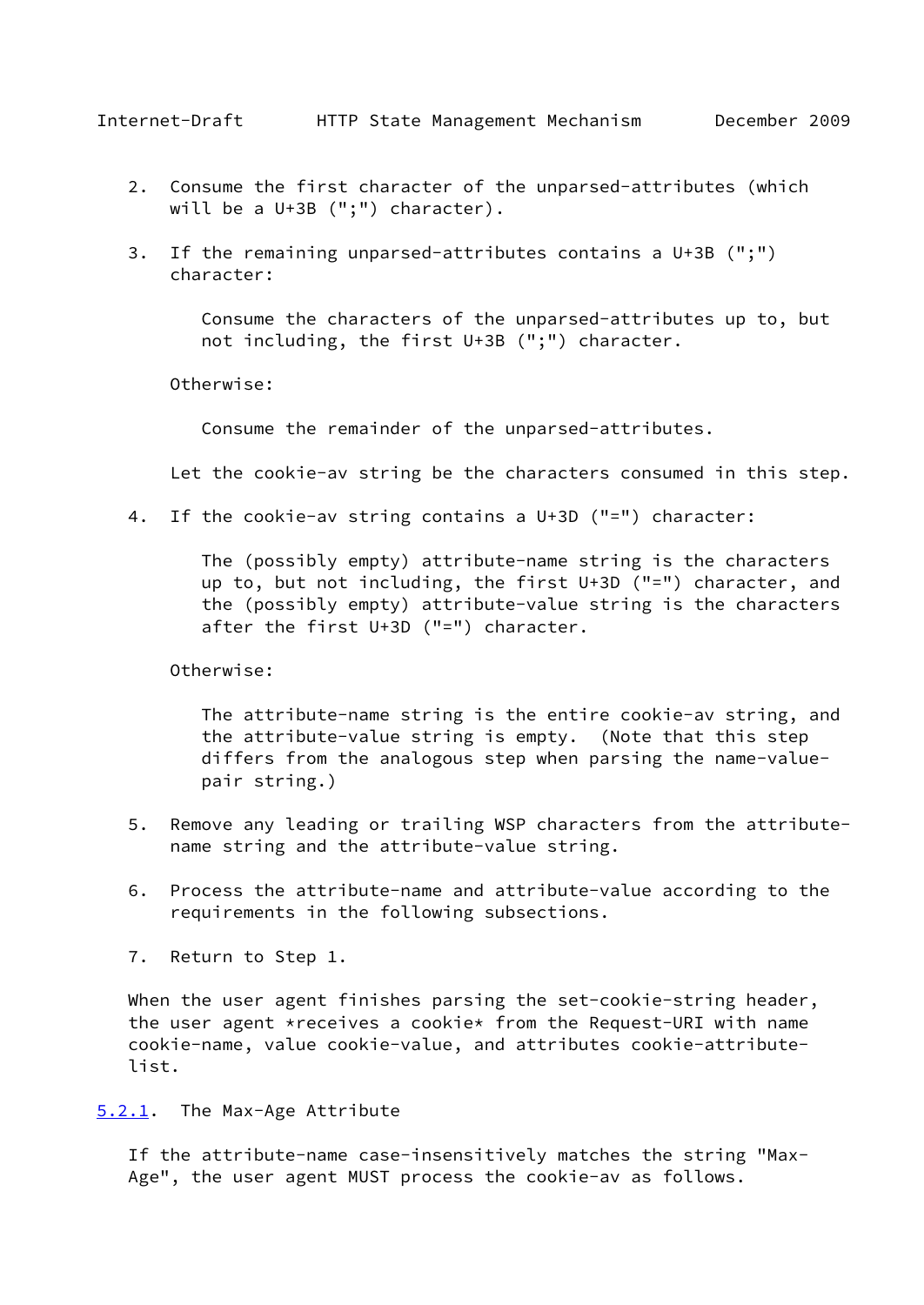- <span id="page-17-1"></span> 2. Consume the first character of the unparsed-attributes (which will be a U+3B (";") character).
- 3. If the remaining unparsed-attributes contains a U+3B (";") character:

 Consume the characters of the unparsed-attributes up to, but not including, the first U+3B (";") character.

Otherwise:

Consume the remainder of the unparsed-attributes.

Let the cookie-av string be the characters consumed in this step.

4. If the cookie-av string contains a U+3D ("=") character:

 The (possibly empty) attribute-name string is the characters up to, but not including, the first U+3D ("=") character, and the (possibly empty) attribute-value string is the characters after the first U+3D ("=") character.

Otherwise:

 The attribute-name string is the entire cookie-av string, and the attribute-value string is empty. (Note that this step differs from the analogous step when parsing the name-value pair string.)

- 5. Remove any leading or trailing WSP characters from the attribute name string and the attribute-value string.
- 6. Process the attribute-name and attribute-value according to the requirements in the following subsections.
- 7. Return to Step 1.

When the user agent finishes parsing the set-cookie-string header, the user agent \*receives a cookie\* from the Request-URI with name cookie-name, value cookie-value, and attributes cookie-attribute list.

<span id="page-17-0"></span>[5.2.1](#page-17-0). The Max-Age Attribute

 If the attribute-name case-insensitively matches the string "Max- Age", the user agent MUST process the cookie-av as follows.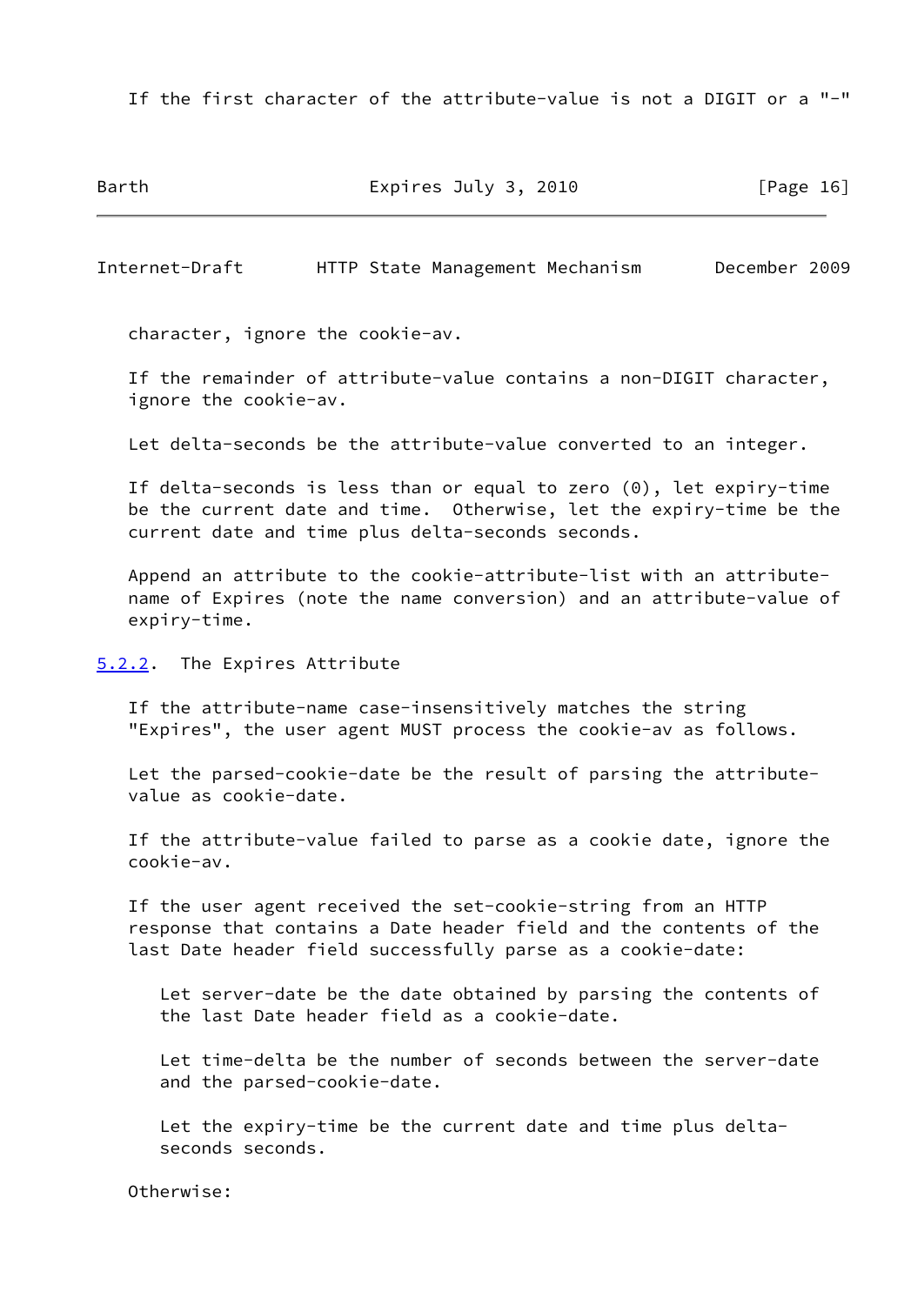If the first character of the attribute-value is not a DIGIT or a "-"

Barth **Expires July 3, 2010** [Page 16]

<span id="page-18-1"></span>Internet-Draft HTTP State Management Mechanism December 2009

character, ignore the cookie-av.

 If the remainder of attribute-value contains a non-DIGIT character, ignore the cookie-av.

Let delta-seconds be the attribute-value converted to an integer.

 If delta-seconds is less than or equal to zero (0), let expiry-time be the current date and time. Otherwise, let the expiry-time be the current date and time plus delta-seconds seconds.

 Append an attribute to the cookie-attribute-list with an attribute name of Expires (note the name conversion) and an attribute-value of expiry-time.

<span id="page-18-0"></span>[5.2.2](#page-18-0). The Expires Attribute

 If the attribute-name case-insensitively matches the string "Expires", the user agent MUST process the cookie-av as follows.

 Let the parsed-cookie-date be the result of parsing the attribute value as cookie-date.

 If the attribute-value failed to parse as a cookie date, ignore the cookie-av.

 If the user agent received the set-cookie-string from an HTTP response that contains a Date header field and the contents of the last Date header field successfully parse as a cookie-date:

 Let server-date be the date obtained by parsing the contents of the last Date header field as a cookie-date.

 Let time-delta be the number of seconds between the server-date and the parsed-cookie-date.

 Let the expiry-time be the current date and time plus delta seconds seconds.

Otherwise: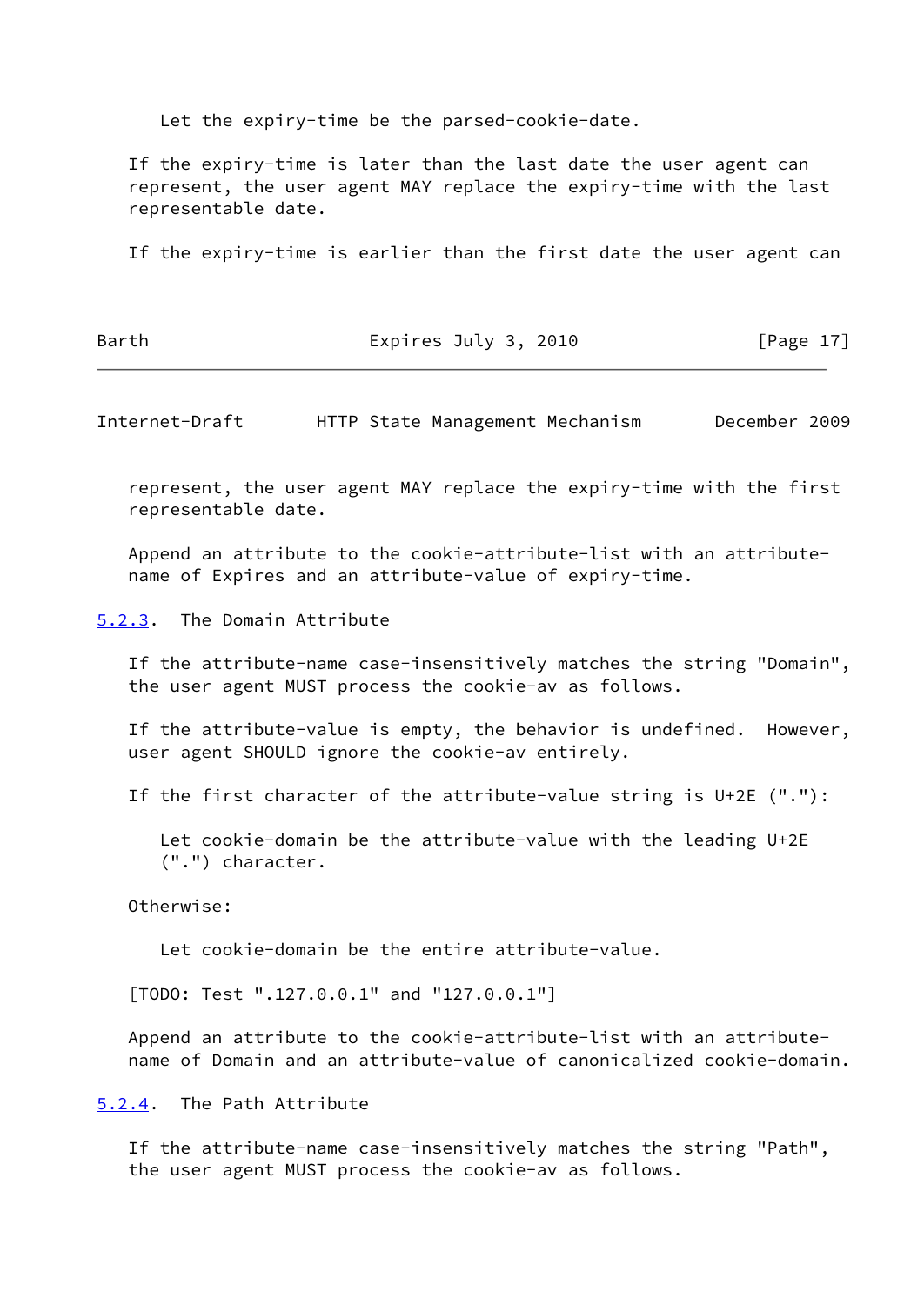Let the expiry-time be the parsed-cookie-date.

 If the expiry-time is later than the last date the user agent can represent, the user agent MAY replace the expiry-time with the last representable date.

If the expiry-time is earlier than the first date the user agent can

Barth Expires July 3, 2010 [Page 17]

<span id="page-19-1"></span>Internet-Draft HTTP State Management Mechanism December 2009

 represent, the user agent MAY replace the expiry-time with the first representable date.

 Append an attribute to the cookie-attribute-list with an attribute name of Expires and an attribute-value of expiry-time.

<span id="page-19-0"></span>[5.2.3](#page-19-0). The Domain Attribute

 If the attribute-name case-insensitively matches the string "Domain", the user agent MUST process the cookie-av as follows.

 If the attribute-value is empty, the behavior is undefined. However, user agent SHOULD ignore the cookie-av entirely.

If the first character of the attribute-value string is U+2E ("."):

 Let cookie-domain be the attribute-value with the leading U+2E (".") character.

Otherwise:

Let cookie-domain be the entire attribute-value.

[TODO: Test ".127.0.0.1" and "127.0.0.1"]

 Append an attribute to the cookie-attribute-list with an attribute name of Domain and an attribute-value of canonicalized cookie-domain.

<span id="page-19-2"></span>[5.2.4](#page-19-2). The Path Attribute

 If the attribute-name case-insensitively matches the string "Path", the user agent MUST process the cookie-av as follows.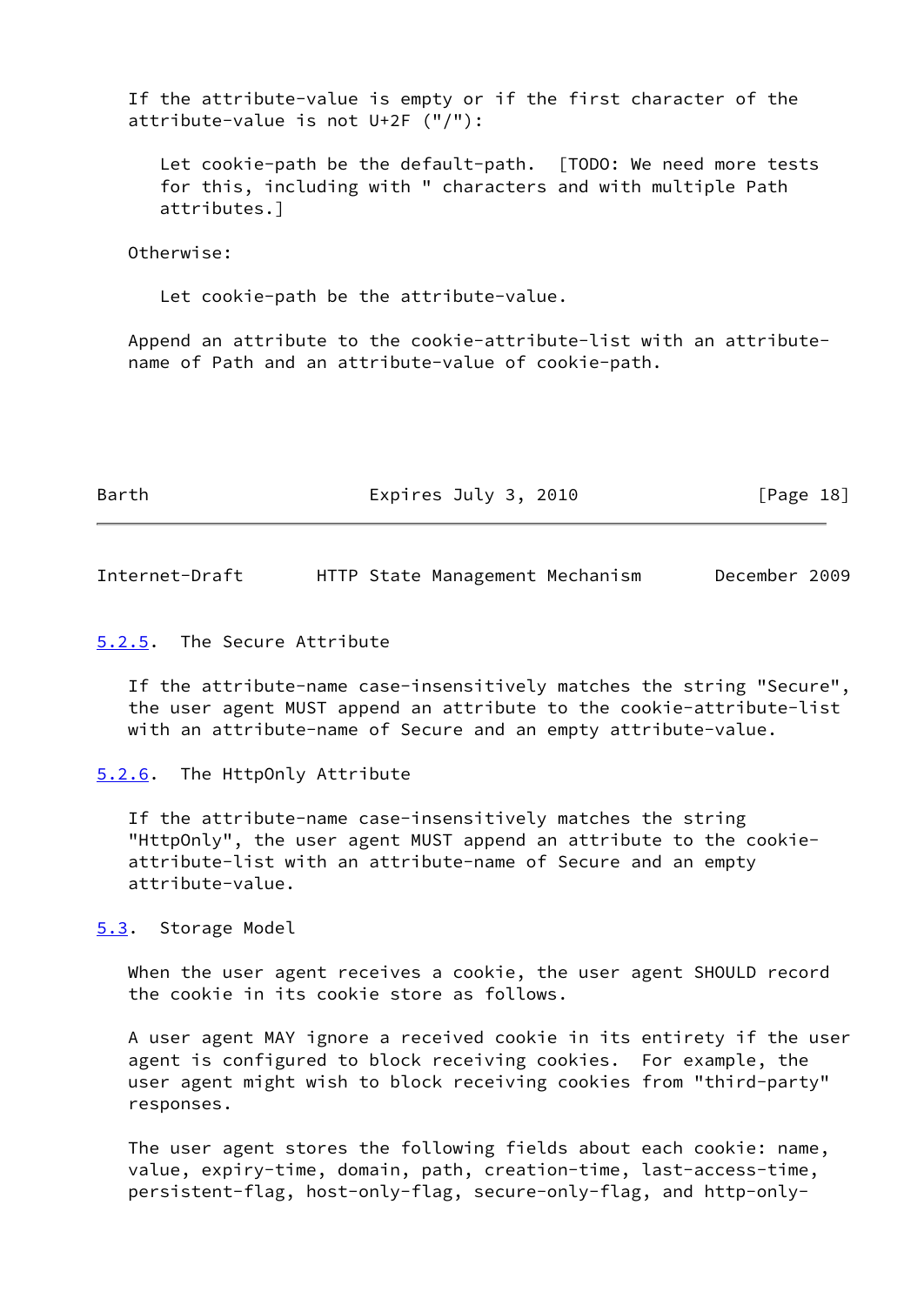If the attribute-value is empty or if the first character of the attribute-value is not U+2F ("/"):

 Let cookie-path be the default-path. [TODO: We need more tests for this, including with " characters and with multiple Path attributes.]

Otherwise:

Let cookie-path be the attribute-value.

 Append an attribute to the cookie-attribute-list with an attribute name of Path and an attribute-value of cookie-path.

| Barth | Expires July 3, 2010 | [Page 18] |
|-------|----------------------|-----------|
|       |                      |           |

<span id="page-20-1"></span>Internet-Draft HTTP State Management Mechanism December 2009

#### <span id="page-20-0"></span>[5.2.5](#page-20-0). The Secure Attribute

 If the attribute-name case-insensitively matches the string "Secure", the user agent MUST append an attribute to the cookie-attribute-list with an attribute-name of Secure and an empty attribute-value.

<span id="page-20-2"></span>[5.2.6](#page-20-2). The HttpOnly Attribute

 If the attribute-name case-insensitively matches the string "HttpOnly", the user agent MUST append an attribute to the cookie attribute-list with an attribute-name of Secure and an empty attribute-value.

<span id="page-20-3"></span>[5.3](#page-20-3). Storage Model

 When the user agent receives a cookie, the user agent SHOULD record the cookie in its cookie store as follows.

 A user agent MAY ignore a received cookie in its entirety if the user agent is configured to block receiving cookies. For example, the user agent might wish to block receiving cookies from "third-party" responses.

 The user agent stores the following fields about each cookie: name, value, expiry-time, domain, path, creation-time, last-access-time, persistent-flag, host-only-flag, secure-only-flag, and http-only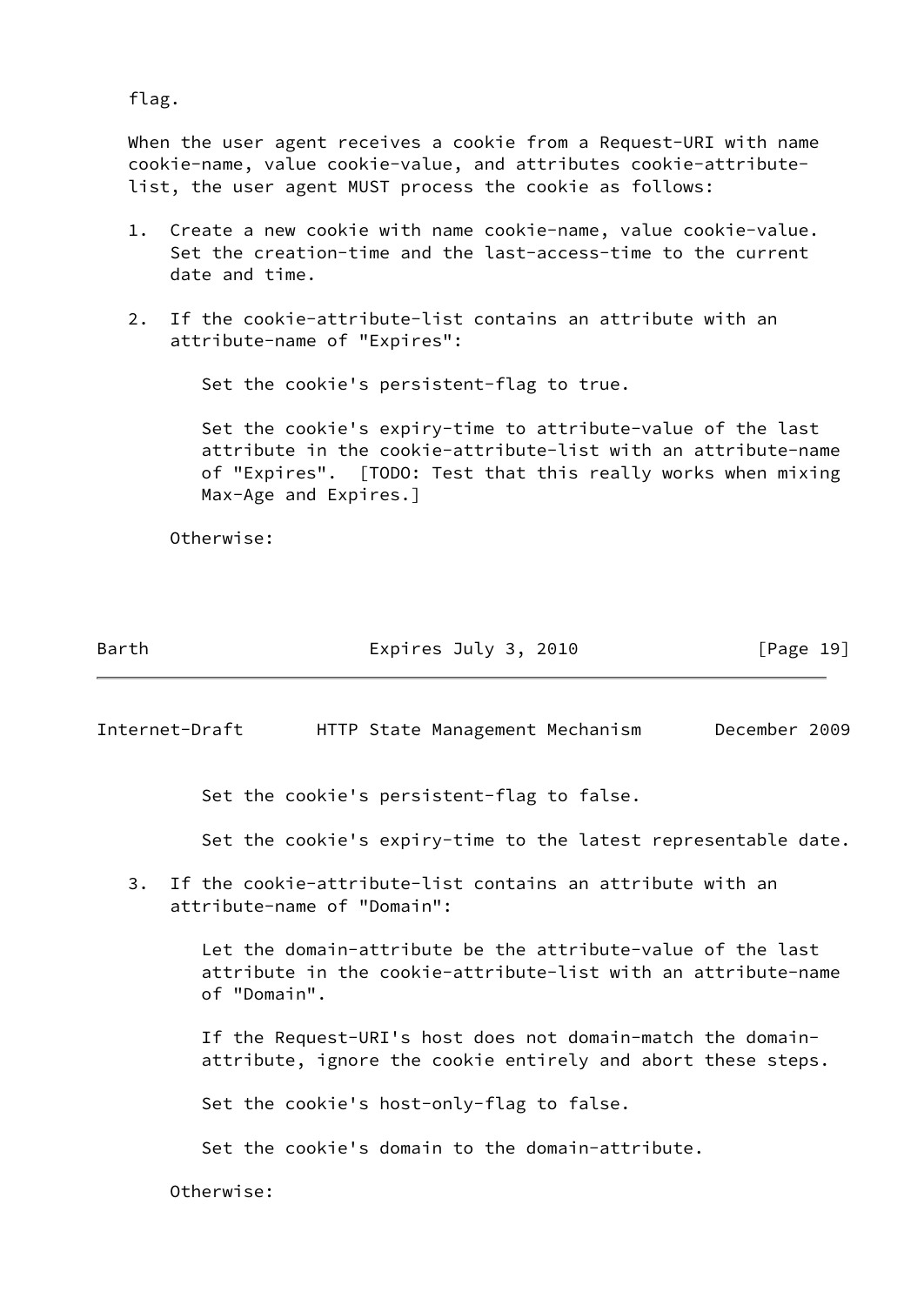flag.

 When the user agent receives a cookie from a Request-URI with name cookie-name, value cookie-value, and attributes cookie-attribute list, the user agent MUST process the cookie as follows:

- 1. Create a new cookie with name cookie-name, value cookie-value. Set the creation-time and the last-access-time to the current date and time.
- 2. If the cookie-attribute-list contains an attribute with an attribute-name of "Expires":

Set the cookie's persistent-flag to true.

 Set the cookie's expiry-time to attribute-value of the last attribute in the cookie-attribute-list with an attribute-name of "Expires". [TODO: Test that this really works when mixing Max-Age and Expires.]

Otherwise:

Barth Expires July 3, 2010 [Page 19]

Internet-Draft HTTP State Management Mechanism December 2009

Set the cookie's persistent-flag to false.

Set the cookie's expiry-time to the latest representable date.

 3. If the cookie-attribute-list contains an attribute with an attribute-name of "Domain":

> Let the domain-attribute be the attribute-value of the last attribute in the cookie-attribute-list with an attribute-name of "Domain".

 If the Request-URI's host does not domain-match the domain attribute, ignore the cookie entirely and abort these steps.

Set the cookie's host-only-flag to false.

Set the cookie's domain to the domain-attribute.

Otherwise: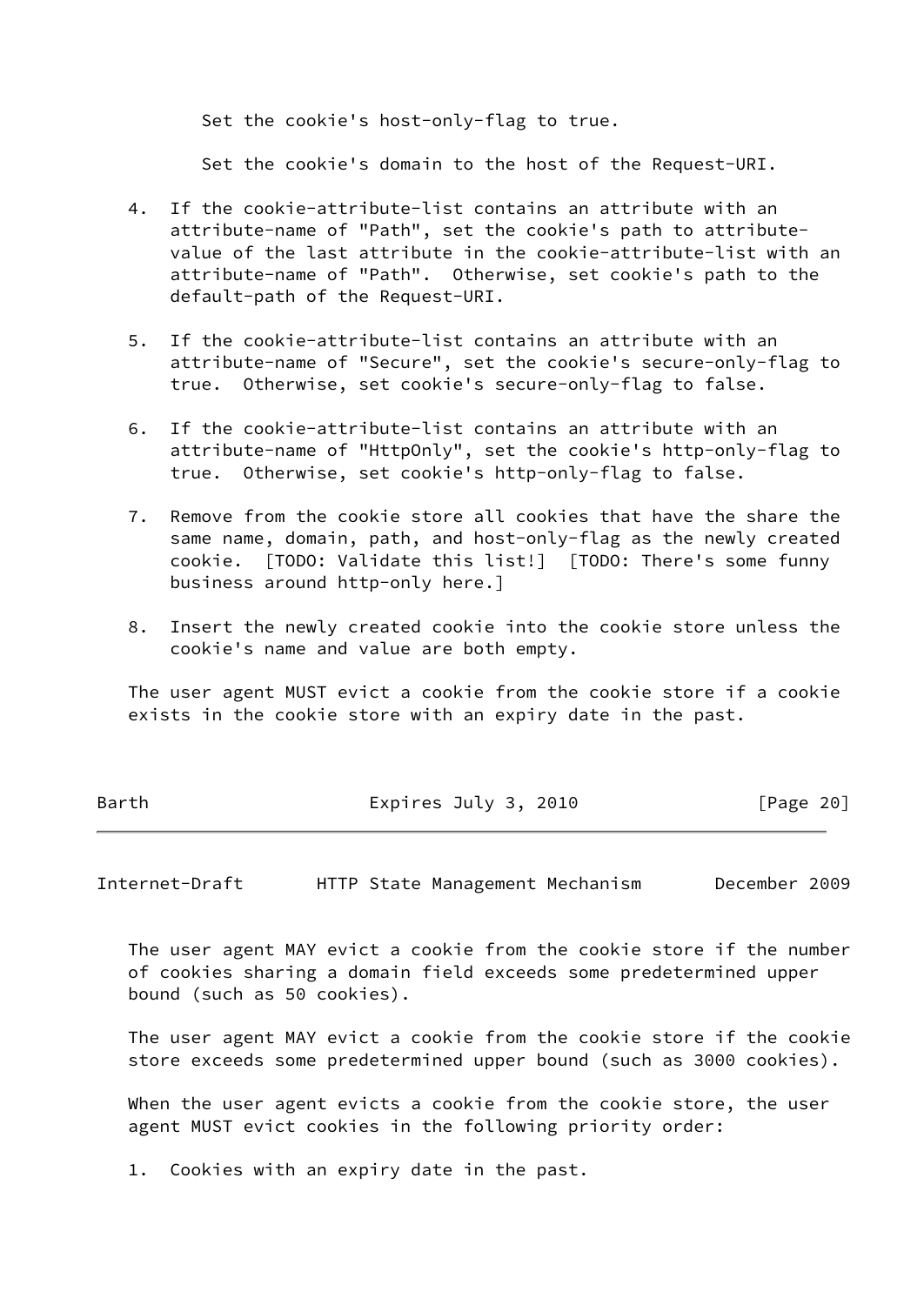Set the cookie's host-only-flag to true.

Set the cookie's domain to the host of the Request-URI.

- 4. If the cookie-attribute-list contains an attribute with an attribute-name of "Path", set the cookie's path to attribute value of the last attribute in the cookie-attribute-list with an attribute-name of "Path". Otherwise, set cookie's path to the default-path of the Request-URI.
- 5. If the cookie-attribute-list contains an attribute with an attribute-name of "Secure", set the cookie's secure-only-flag to true. Otherwise, set cookie's secure-only-flag to false.
- 6. If the cookie-attribute-list contains an attribute with an attribute-name of "HttpOnly", set the cookie's http-only-flag to true. Otherwise, set cookie's http-only-flag to false.
- 7. Remove from the cookie store all cookies that have the share the same name, domain, path, and host-only-flag as the newly created cookie. [TODO: Validate this list!] [TODO: There's some funny business around http-only here.]
- 8. Insert the newly created cookie into the cookie store unless the cookie's name and value are both empty.

 The user agent MUST evict a cookie from the cookie store if a cookie exists in the cookie store with an expiry date in the past.

Barth **Expires July 3, 2010** [Page 20]

<span id="page-22-0"></span>Internet-Draft HTTP State Management Mechanism December 2009

 The user agent MAY evict a cookie from the cookie store if the number of cookies sharing a domain field exceeds some predetermined upper bound (such as 50 cookies).

 The user agent MAY evict a cookie from the cookie store if the cookie store exceeds some predetermined upper bound (such as 3000 cookies).

 When the user agent evicts a cookie from the cookie store, the user agent MUST evict cookies in the following priority order:

1. Cookies with an expiry date in the past.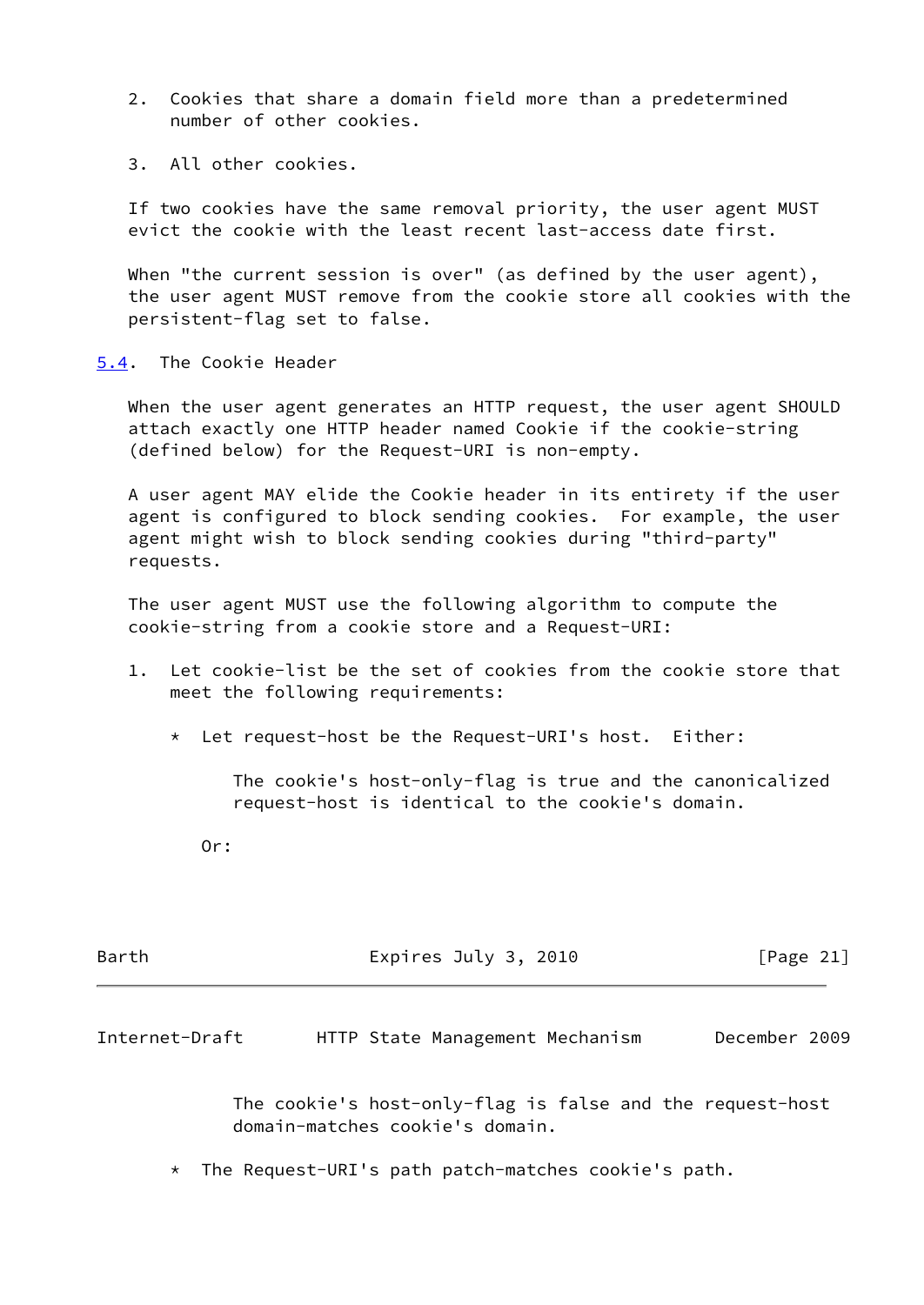- 2. Cookies that share a domain field more than a predetermined number of other cookies.
- 3. All other cookies.

 If two cookies have the same removal priority, the user agent MUST evict the cookie with the least recent last-access date first.

When "the current session is over" (as defined by the user agent), the user agent MUST remove from the cookie store all cookies with the persistent-flag set to false.

<span id="page-23-0"></span>[5.4](#page-23-0). The Cookie Header

 When the user agent generates an HTTP request, the user agent SHOULD attach exactly one HTTP header named Cookie if the cookie-string (defined below) for the Request-URI is non-empty.

 A user agent MAY elide the Cookie header in its entirety if the user agent is configured to block sending cookies. For example, the user agent might wish to block sending cookies during "third-party" requests.

 The user agent MUST use the following algorithm to compute the cookie-string from a cookie store and a Request-URI:

- 1. Let cookie-list be the set of cookies from the cookie store that meet the following requirements:
	- \* Let request-host be the Request-URI's host. Either:

 The cookie's host-only-flag is true and the canonicalized request-host is identical to the cookie's domain.

Or:

| Barth | Expires July 3, 2010 | [Page 21] |
|-------|----------------------|-----------|
|       |                      |           |

Internet-Draft HTTP State Management Mechanism December 2009

 The cookie's host-only-flag is false and the request-host domain-matches cookie's domain.

\* The Request-URI's path patch-matches cookie's path.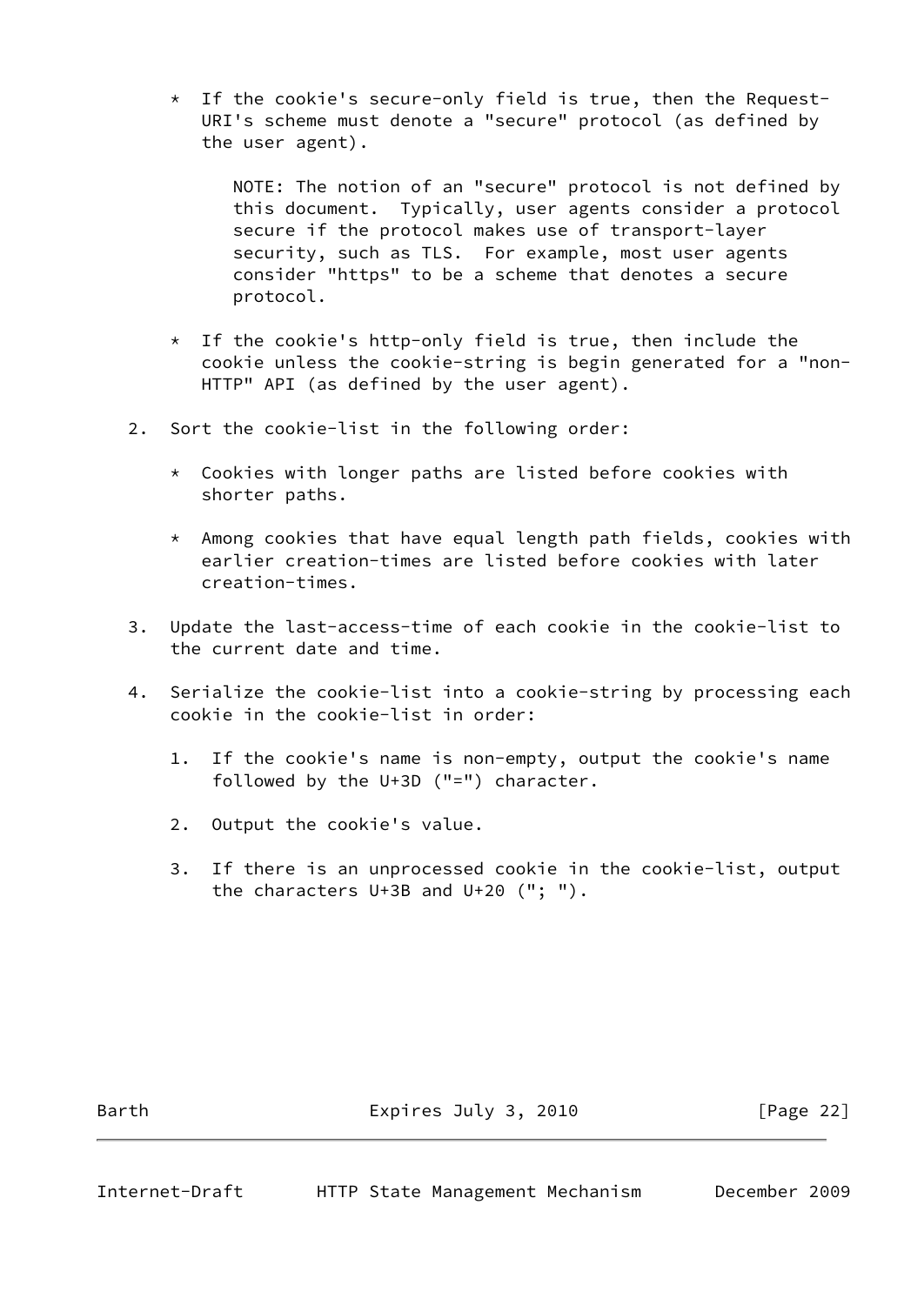\* If the cookie's secure-only field is true, then the Request- URI's scheme must denote a "secure" protocol (as defined by the user agent).

 NOTE: The notion of an "secure" protocol is not defined by this document. Typically, user agents consider a protocol secure if the protocol makes use of transport-layer security, such as TLS. For example, most user agents consider "https" to be a scheme that denotes a secure protocol.

- \* If the cookie's http-only field is true, then include the cookie unless the cookie-string is begin generated for a "non- HTTP" API (as defined by the user agent).
- 2. Sort the cookie-list in the following order:
	- \* Cookies with longer paths are listed before cookies with shorter paths.
	- \* Among cookies that have equal length path fields, cookies with earlier creation-times are listed before cookies with later creation-times.
- 3. Update the last-access-time of each cookie in the cookie-list to the current date and time.
- 4. Serialize the cookie-list into a cookie-string by processing each cookie in the cookie-list in order:
	- 1. If the cookie's name is non-empty, output the cookie's name followed by the U+3D ("=") character.
	- 2. Output the cookie's value.
	- 3. If there is an unprocessed cookie in the cookie-list, output the characters U+3B and U+20 ("; ").

Barth **Expires July 3, 2010** [Page 22]

<span id="page-24-0"></span>

Internet-Draft HTTP State Management Mechanism December 2009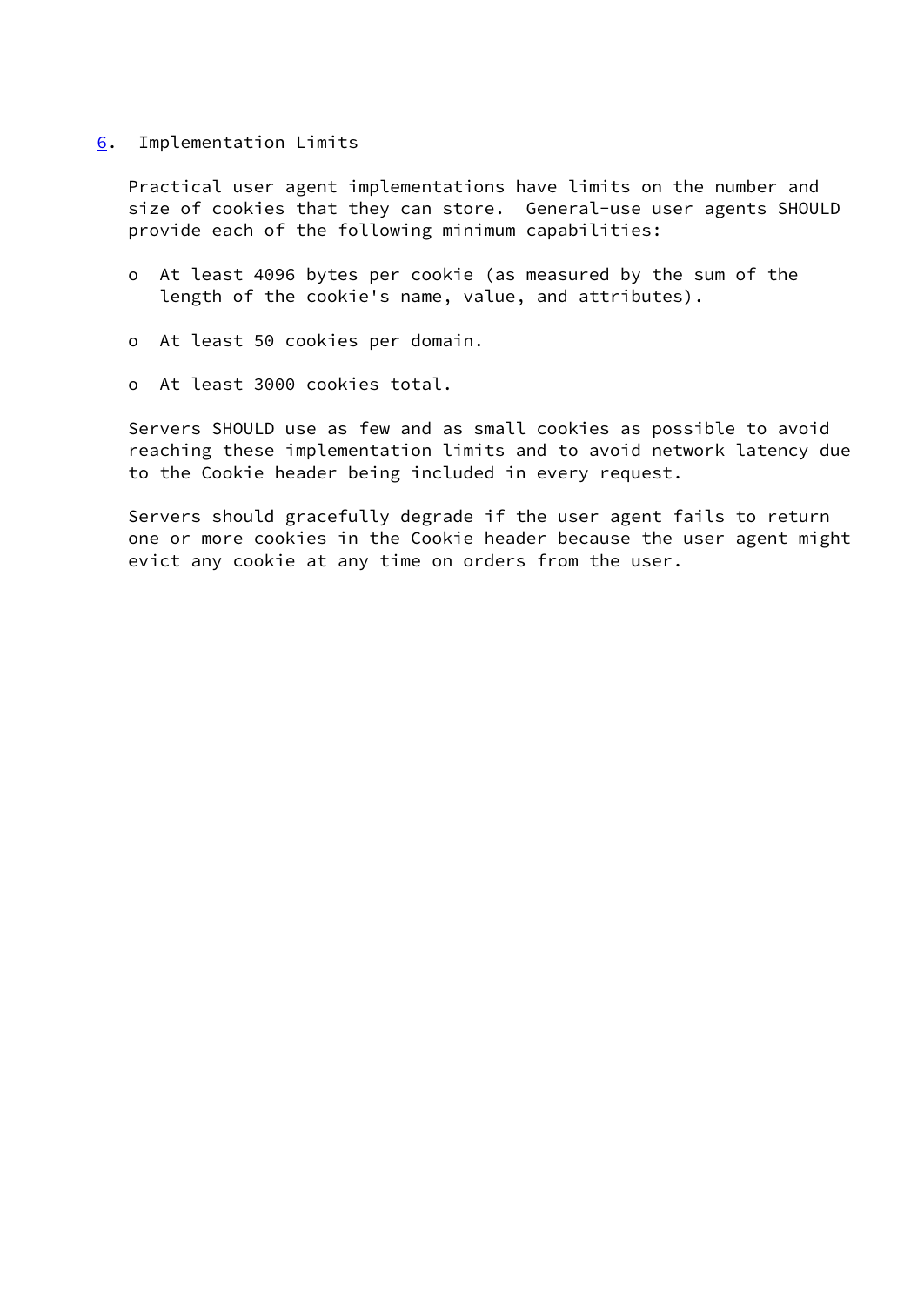#### <span id="page-25-0"></span>[6](#page-25-0). Implementation Limits

 Practical user agent implementations have limits on the number and size of cookies that they can store. General-use user agents SHOULD provide each of the following minimum capabilities:

- o At least 4096 bytes per cookie (as measured by the sum of the length of the cookie's name, value, and attributes).
- o At least 50 cookies per domain.
- o At least 3000 cookies total.

 Servers SHOULD use as few and as small cookies as possible to avoid reaching these implementation limits and to avoid network latency due to the Cookie header being included in every request.

 Servers should gracefully degrade if the user agent fails to return one or more cookies in the Cookie header because the user agent might evict any cookie at any time on orders from the user.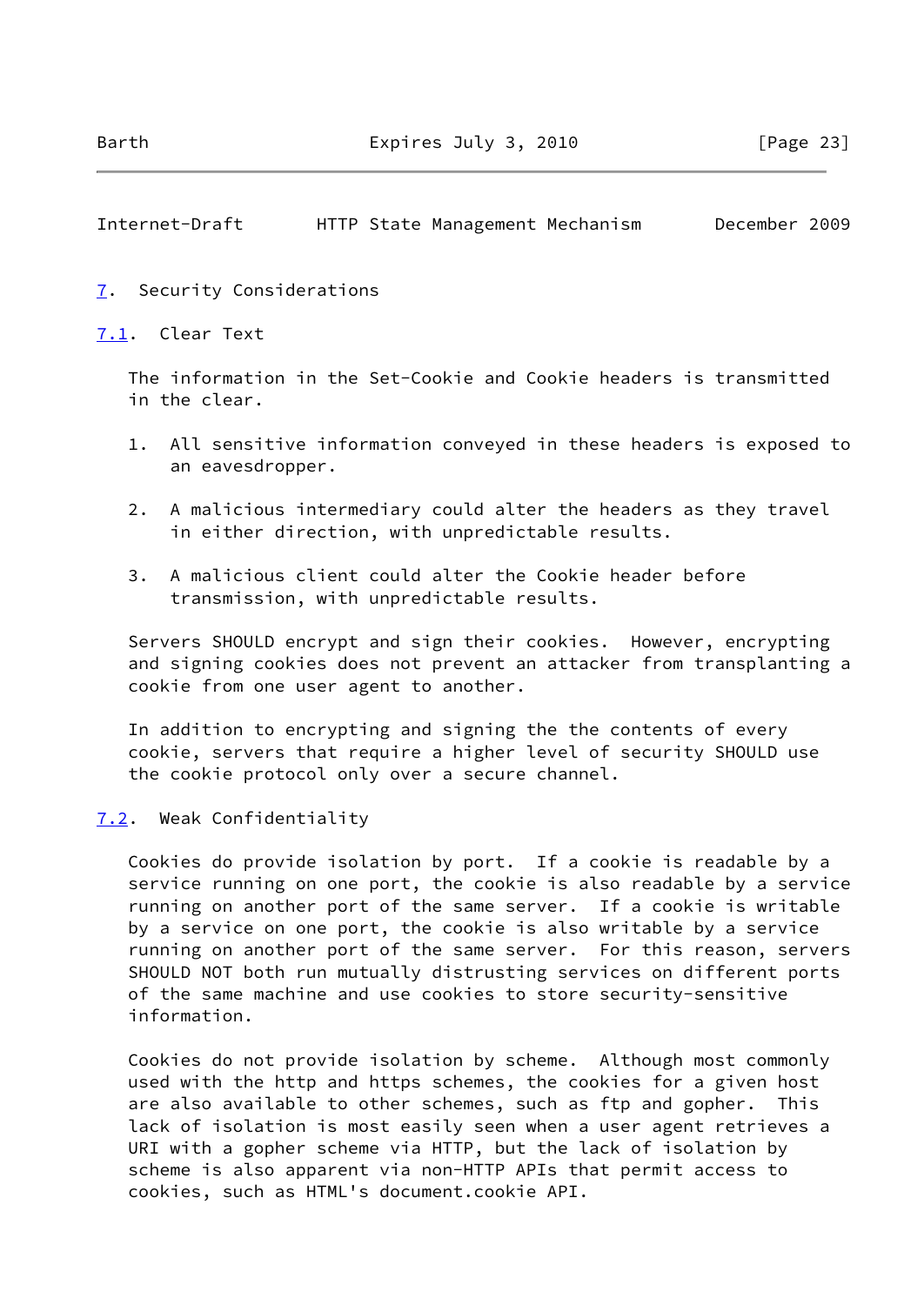# <span id="page-26-1"></span>Internet-Draft HTTP State Management Mechanism December 2009

#### <span id="page-26-0"></span>[7](#page-26-0). Security Considerations

#### <span id="page-26-2"></span>[7.1](#page-26-2). Clear Text

 The information in the Set-Cookie and Cookie headers is transmitted in the clear.

- 1. All sensitive information conveyed in these headers is exposed to an eavesdropper.
- 2. A malicious intermediary could alter the headers as they travel in either direction, with unpredictable results.
- 3. A malicious client could alter the Cookie header before transmission, with unpredictable results.

 Servers SHOULD encrypt and sign their cookies. However, encrypting and signing cookies does not prevent an attacker from transplanting a cookie from one user agent to another.

 In addition to encrypting and signing the the contents of every cookie, servers that require a higher level of security SHOULD use the cookie protocol only over a secure channel.

#### <span id="page-26-3"></span>[7.2](#page-26-3). Weak Confidentiality

 Cookies do provide isolation by port. If a cookie is readable by a service running on one port, the cookie is also readable by a service running on another port of the same server. If a cookie is writable by a service on one port, the cookie is also writable by a service running on another port of the same server. For this reason, servers SHOULD NOT both run mutually distrusting services on different ports of the same machine and use cookies to store security-sensitive information.

 Cookies do not provide isolation by scheme. Although most commonly used with the http and https schemes, the cookies for a given host are also available to other schemes, such as ftp and gopher. This lack of isolation is most easily seen when a user agent retrieves a URI with a gopher scheme via HTTP, but the lack of isolation by scheme is also apparent via non-HTTP APIs that permit access to cookies, such as HTML's document.cookie API.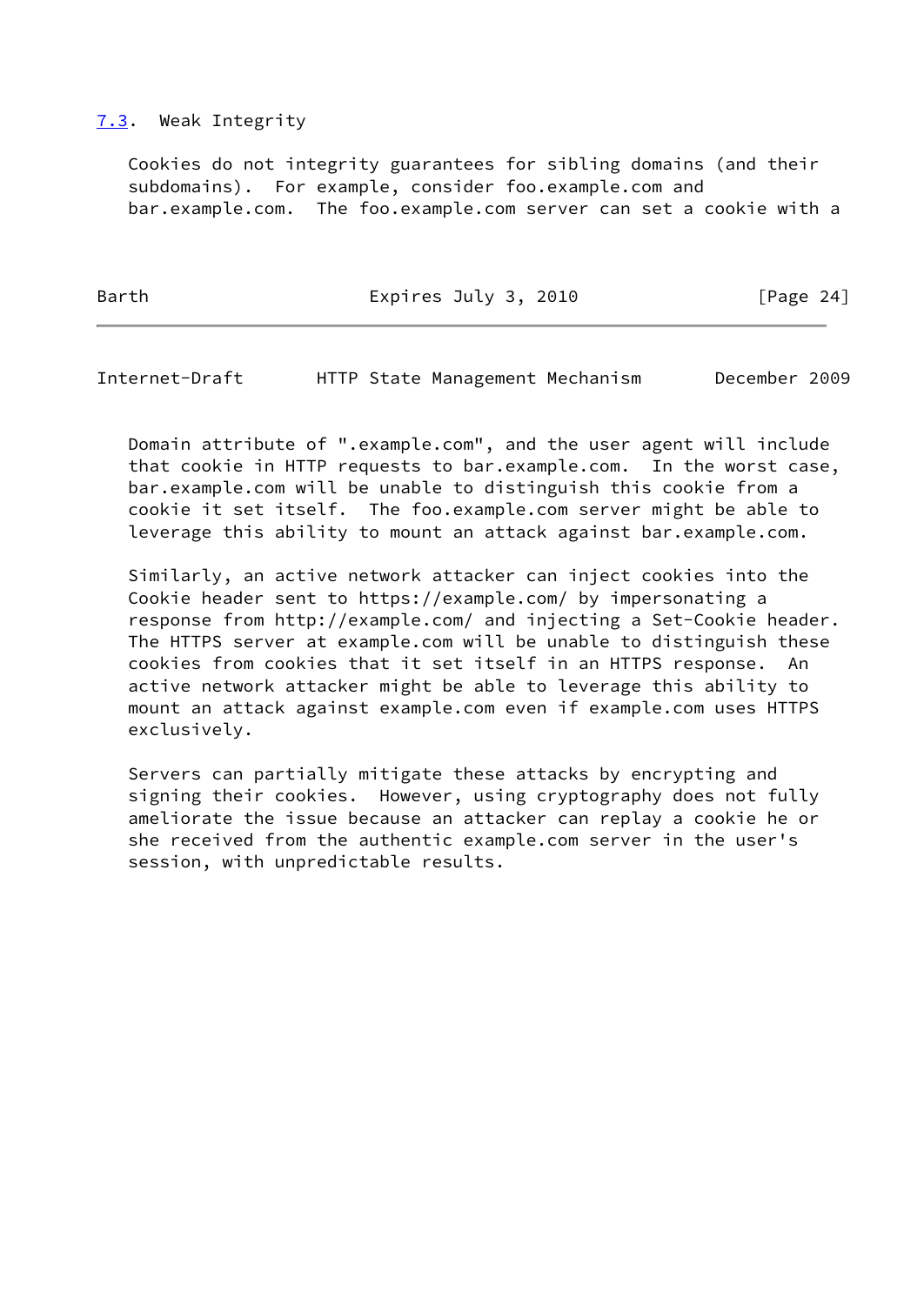# <span id="page-27-0"></span>[7.3](#page-27-0). Weak Integrity

 Cookies do not integrity guarantees for sibling domains (and their subdomains). For example, consider foo.example.com and bar.example.com. The foo.example.com server can set a cookie with a

Barth Expires July 3, 2010 [Page 24]

Internet-Draft HTTP State Management Mechanism December 2009

 Domain attribute of ".example.com", and the user agent will include that cookie in HTTP requests to bar.example.com. In the worst case, bar.example.com will be unable to distinguish this cookie from a cookie it set itself. The foo.example.com server might be able to leverage this ability to mount an attack against bar.example.com.

 Similarly, an active network attacker can inject cookies into the Cookie header sent to https://example.com/ by impersonating a response from http://example.com/ and injecting a Set-Cookie header. The HTTPS server at example.com will be unable to distinguish these cookies from cookies that it set itself in an HTTPS response. An active network attacker might be able to leverage this ability to mount an attack against example.com even if example.com uses HTTPS exclusively.

 Servers can partially mitigate these attacks by encrypting and signing their cookies. However, using cryptography does not fully ameliorate the issue because an attacker can replay a cookie he or she received from the authentic example.com server in the user's session, with unpredictable results.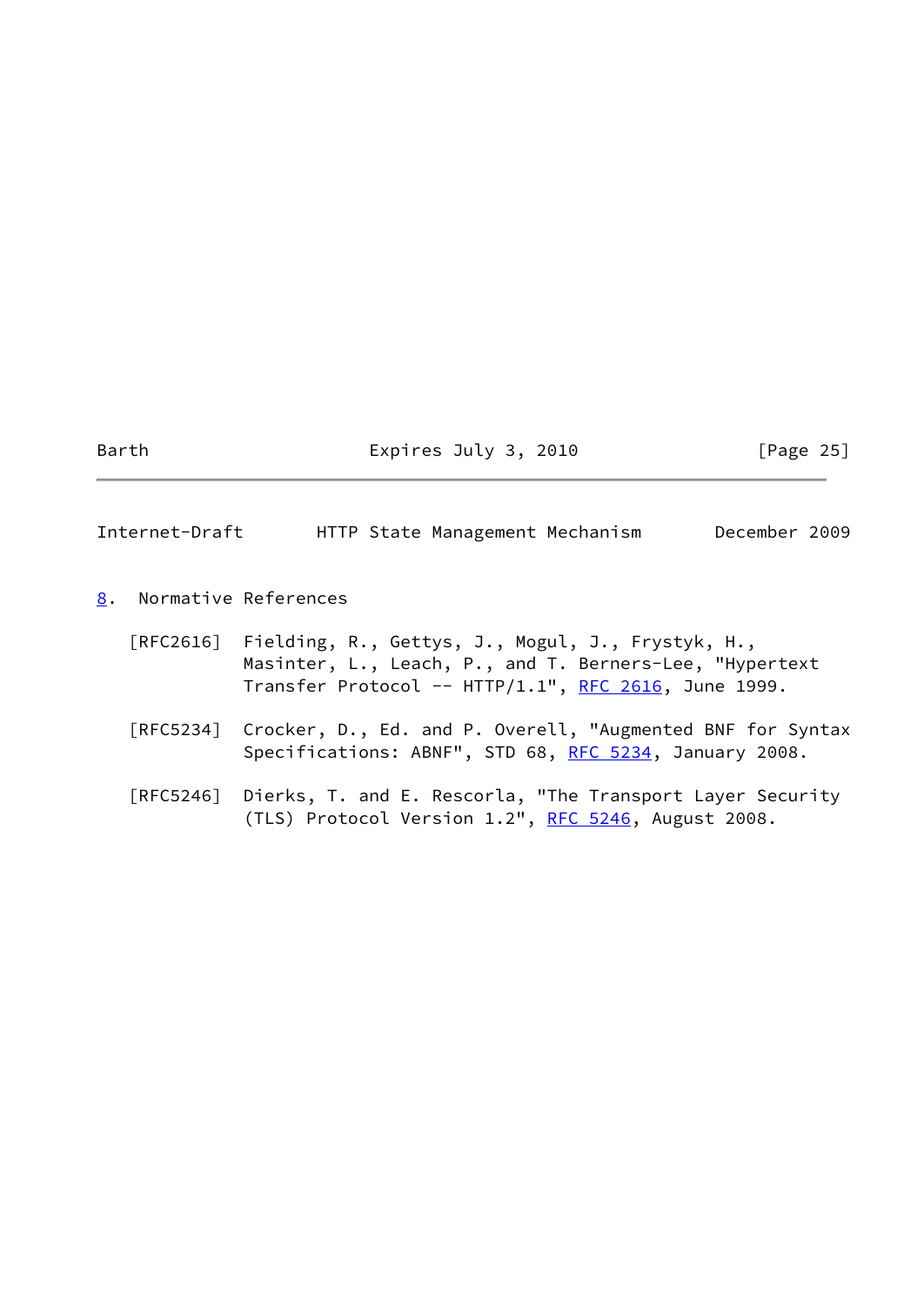Barth Expires July 3, 2010 [Page 25]

<span id="page-28-1"></span>Internet-Draft HTTP State Management Mechanism December 2009

<span id="page-28-0"></span>[8](#page-28-0). Normative References

| [RFC2616] Fielding, R., Gettys, J., Mogul, J., Frystyk, H., |  |  |
|-------------------------------------------------------------|--|--|
| Masinter, L., Leach, P., and T. Berners-Lee, "Hypertext     |  |  |
| Transfer Protocol -- HTTP/1.1", RFC 2616, June 1999.        |  |  |

- [RFC5234] Crocker, D., Ed. and P. Overell, "Augmented BNF for Syntax Specifications: ABNF", STD 68, [RFC 5234](https://datatracker.ietf.org/doc/pdf/rfc5234), January 2008.
- [RFC5246] Dierks, T. and E. Rescorla, "The Transport Layer Security (TLS) Protocol Version  $1.2$ ", [RFC 5246](https://datatracker.ietf.org/doc/pdf/rfc5246), August 2008.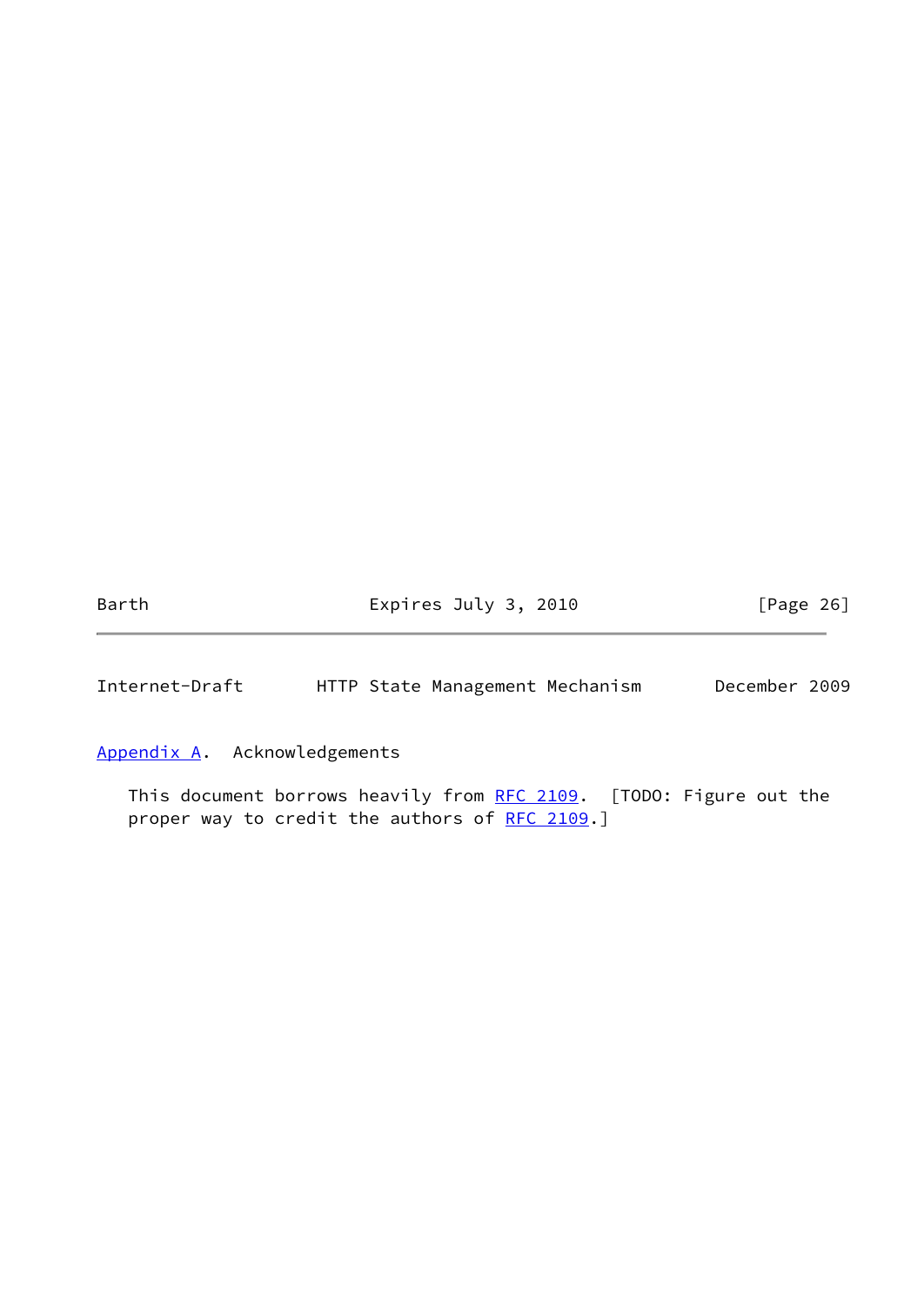Barth **Expires July 3, 2010** [Page 26]

<span id="page-29-1"></span>Internet-Draft HTTP State Management Mechanism December 2009

<span id="page-29-0"></span>[Appendix A.](#page-29-0) Acknowledgements

This document borrows heavily from [RFC 2109.](https://datatracker.ietf.org/doc/pdf/rfc2109) [TODO: Figure out the proper way to credit the authors of [RFC 2109.](https://datatracker.ietf.org/doc/pdf/rfc2109)]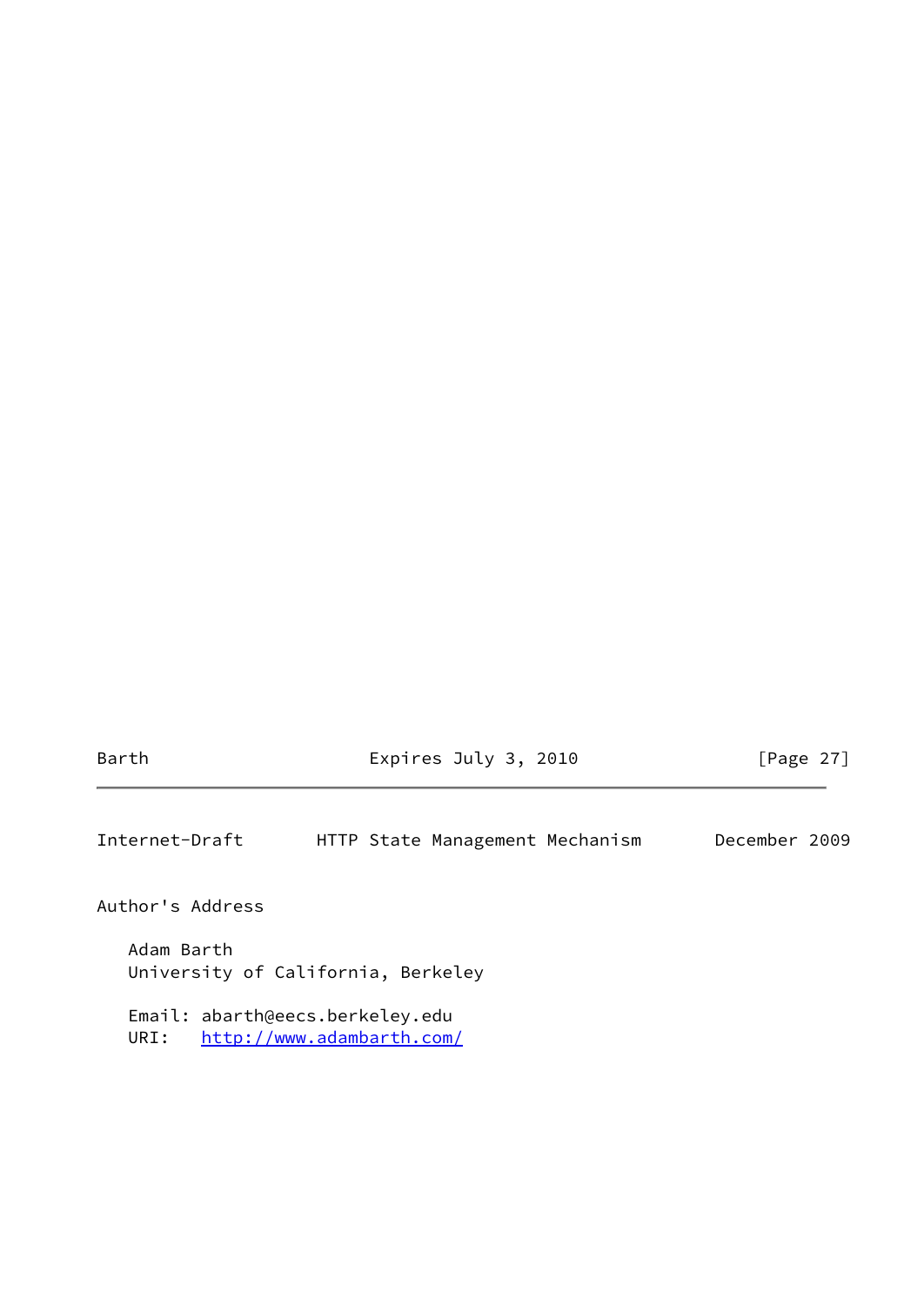Barth Expires July 3, 2010 [Page 27]

<span id="page-30-0"></span>Internet-Draft HTTP State Management Mechanism December 2009

Author's Address

 Adam Barth University of California, Berkeley

 Email: abarth@eecs.berkeley.edu URI: <http://www.adambarth.com/>